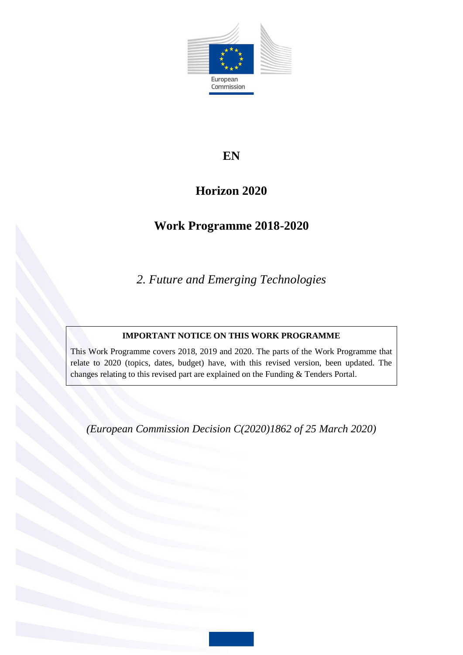

# **EN**

# **Horizon 2020**

# **Work Programme 2018-2020**

*2. Future and Emerging Technologies*

## **IMPORTANT NOTICE ON THIS WORK PROGRAMME**

This Work Programme covers 2018, 2019 and 2020. The parts of the Work Programme that relate to 2020 (topics, dates, budget) have, with this revised version, been updated. The changes relating to this revised part are explained on the Funding & Tenders Portal.

*(European Commission Decision C(2020)1862 of 25 March 2020)*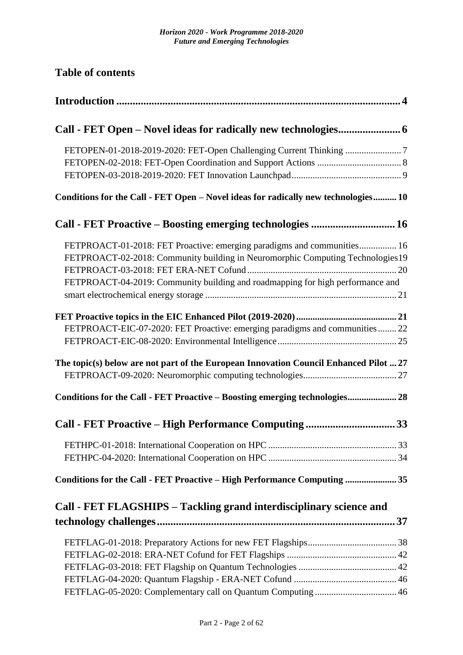**Table of contents**

| Conditions for the Call - FET Open - Novel ideas for radically new technologies 10                                                                                                                                                          |
|---------------------------------------------------------------------------------------------------------------------------------------------------------------------------------------------------------------------------------------------|
| Call - FET Proactive - Boosting emerging technologies  16                                                                                                                                                                                   |
| FETPROACT-01-2018: FET Proactive: emerging paradigms and communities 16<br>FETPROACT-02-2018: Community building in Neuromorphic Computing Technologies19<br>FETPROACT-04-2019: Community building and roadmapping for high performance and |
| FETPROACT-EIC-07-2020: FET Proactive: emerging paradigms and communities  22                                                                                                                                                                |
| The topic(s) below are not part of the European Innovation Council Enhanced Pilot  27                                                                                                                                                       |
| Conditions for the Call - FET Proactive - Boosting emerging technologies 28                                                                                                                                                                 |
| Call - FET Proactive - High Performance Computing 33                                                                                                                                                                                        |
|                                                                                                                                                                                                                                             |
| Conditions for the Call - FET Proactive - High Performance Computing  35                                                                                                                                                                    |
| Call - FET FLAGSHIPS - Tackling grand interdisciplinary science and<br>37                                                                                                                                                                   |
|                                                                                                                                                                                                                                             |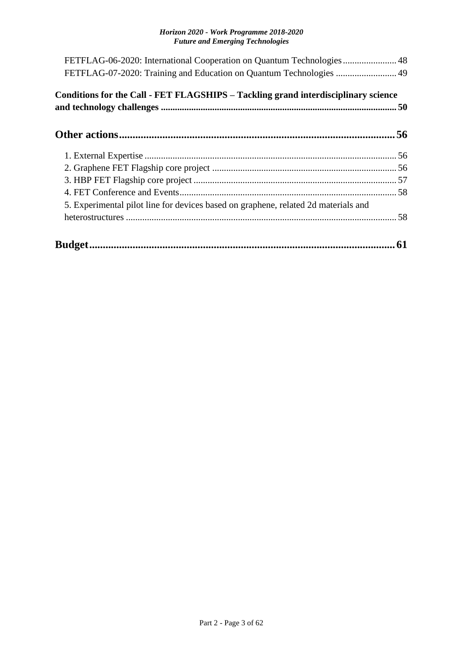| FETFLAG-06-2020: International Cooperation on Quantum Technologies 48<br>FETFLAG-07-2020: Training and Education on Quantum Technologies  49 |  |
|----------------------------------------------------------------------------------------------------------------------------------------------|--|
| Conditions for the Call - FET FLAGSHIPS – Tackling grand interdisciplinary science                                                           |  |
|                                                                                                                                              |  |
|                                                                                                                                              |  |
|                                                                                                                                              |  |
|                                                                                                                                              |  |
|                                                                                                                                              |  |
| 5. Experimental pilot line for devices based on graphene, related 2d materials and                                                           |  |
|                                                                                                                                              |  |
|                                                                                                                                              |  |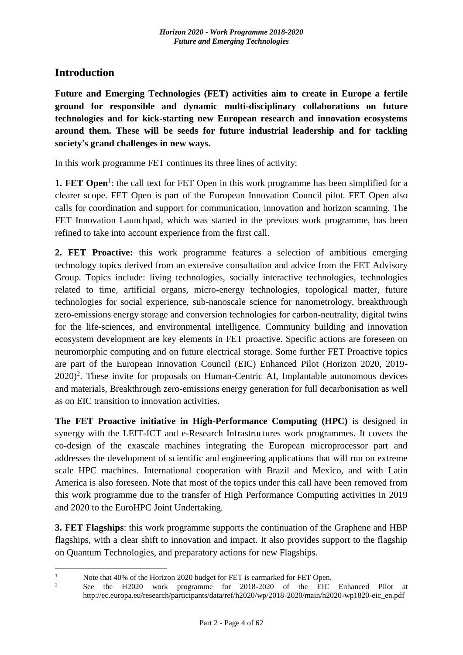## <span id="page-3-0"></span>**Introduction**

1

**Future and Emerging Technologies (FET) activities aim to create in Europe a fertile ground for responsible and dynamic multi-disciplinary collaborations on future technologies and for kick-starting new European research and innovation ecosystems around them. These will be seeds for future industrial leadership and for tackling society's grand challenges in new ways.**

In this work programme FET continues its three lines of activity:

**1. FET Open**<sup>1</sup>: the call text for FET Open in this work programme has been simplified for a clearer scope. FET Open is part of the European Innovation Council pilot. FET Open also calls for coordination and support for communication, innovation and horizon scanning. The FET Innovation Launchpad, which was started in the previous work programme, has been refined to take into account experience from the first call.

**2. FET Proactive:** this work programme features a selection of ambitious emerging technology topics derived from an extensive consultation and advice from the FET Advisory Group. Topics include: living technologies, socially interactive technologies, technologies related to time, artificial organs, micro-energy technologies, topological matter, future technologies for social experience, sub-nanoscale science for nanometrology, breakthrough zero-emissions energy storage and conversion technologies for carbon-neutrality, digital twins for the life-sciences, and environmental intelligence. Community building and innovation ecosystem development are key elements in FET proactive. Specific actions are foreseen on neuromorphic computing and on future electrical storage. Some further FET Proactive topics are part of the European Innovation Council (EIC) Enhanced Pilot (Horizon 2020, 2019-  $2020$ <sup>2</sup>. These invite for proposals on Human-Centric AI, Implantable autonomous devices and materials, Breakthrough zero-emissions energy generation for full decarbonisation as well as on EIC transition to innovation activities.

**The FET Proactive initiative in High-Performance Computing (HPC)** is designed in synergy with the LEIT-ICT and e-Research Infrastructures work programmes. It covers the co-design of the exascale machines integrating the European microprocessor part and addresses the development of scientific and engineering applications that will run on extreme scale HPC machines. International cooperation with Brazil and Mexico, and with Latin America is also foreseen. Note that most of the topics under this call have been removed from this work programme due to the transfer of High Performance Computing activities in 2019 and 2020 to the EuroHPC Joint Undertaking.

**3. FET Flagships**: this work programme supports the continuation of the Graphene and HBP flagships, with a clear shift to innovation and impact. It also provides support to the flagship on Quantum Technologies, and preparatory actions for new Flagships.

<sup>&</sup>lt;sup>1</sup> Note that 40% of the Horizon 2020 budget for FET is earmarked for FET Open.<br><sup>2</sup> See the H2020, work programme for 2018-2020 of the FIG

<sup>2</sup> See the H2020 work programme for 2018-2020 of the EIC Enhanced Pilot at http://ec.europa.eu/research/participants/data/ref/h2020/wp/2018-2020/main/h2020-wp1820-eic\_en.pdf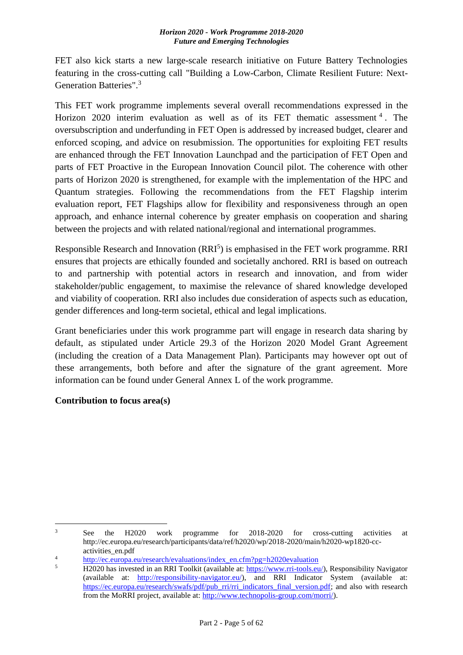FET also kick starts a new large-scale research initiative on Future Battery Technologies featuring in the cross-cutting call "Building a Low-Carbon, Climate Resilient Future: Next-Generation Batteries".<sup>3</sup>

This FET work programme implements several overall recommendations expressed in the Horizon 2020 interim evaluation as well as of its FET thematic assessment  $4$ . The oversubscription and underfunding in FET Open is addressed by increased budget, clearer and enforced scoping, and advice on resubmission. The opportunities for exploiting FET results are enhanced through the FET Innovation Launchpad and the participation of FET Open and parts of FET Proactive in the European Innovation Council pilot. The coherence with other parts of Horizon 2020 is strengthened, for example with the implementation of the HPC and Quantum strategies. Following the recommendations from the FET Flagship interim evaluation report, FET Flagships allow for flexibility and responsiveness through an open approach, and enhance internal coherence by greater emphasis on cooperation and sharing between the projects and with related national/regional and international programmes.

Responsible Research and Innovation (RRI<sup>5</sup>) is emphasised in the FET work programme. RRI ensures that projects are ethically founded and societally anchored. RRI is based on outreach to and partnership with potential actors in research and innovation, and from wider stakeholder/public engagement, to maximise the relevance of shared knowledge developed and viability of cooperation. RRI also includes due consideration of aspects such as education, gender differences and long-term societal, ethical and legal implications.

Grant beneficiaries under this work programme part will engage in research data sharing by default, as stipulated under Article 29.3 of the Horizon 2020 Model Grant Agreement (including the creation of a Data Management Plan). Participants may however opt out of these arrangements, both before and after the signature of the grant agreement. More information can be found under General Annex L of the work programme.

## **Contribution to focus area(s)**

 $\overline{3}$ See the H2020 work programme for 2018-2020 for cross-cutting activities at http://ec.europa.eu/research/participants/data/ref/h2020/wp/2018-2020/main/h2020-wp1820-ccactivities\_en.pdf

<sup>&</sup>lt;sup>4</sup><br>[http://ec.europa.eu/research/evaluations/index\\_en.cfm?pg=h2020evaluation](http://ec.europa.eu/research/evaluations/index_en.cfm?pg=h2020evaluation)<br>5 H2020 besigneed in an PPI Toollit (smileble at https://www.wit.tools.com

<sup>5</sup> H2020 has invested in an RRI Toolkit (available at: [https://www.rri-tools.eu/\)](https://www.rri-tools.eu/), Responsibility Navigator (available at: [http://responsibility-navigator.eu/\)](http://responsibility-navigator.eu/), and RRI Indicator System (available at: [https://ec.europa.eu/research/swafs/pdf/pub\\_rri/rri\\_indicators\\_final\\_version.pdf;](https://ec.europa.eu/research/swafs/pdf/pub_rri/rri_indicators_final_version.pdf) and also with research from the MoRRI project, available at: [http://www.technopolis-group.com/morri/\)](http://www.technopolis-group.com/morri/).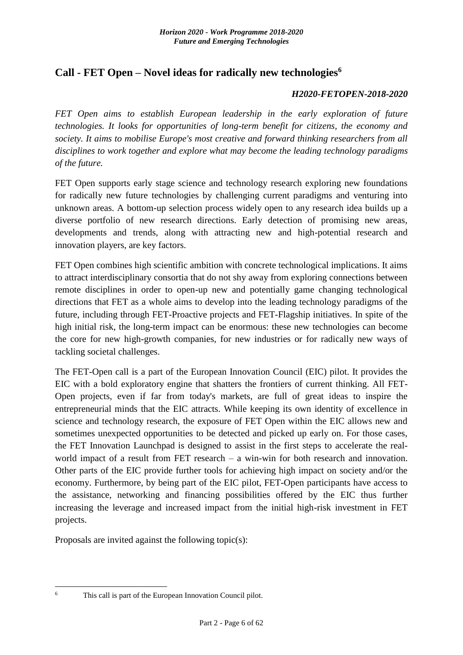## <span id="page-5-0"></span>**Call - FET Open – Novel ideas for radically new technologies<sup>6</sup>**

### *H2020-FETOPEN-2018-2020*

*FET Open aims to establish European leadership in the early exploration of future technologies. It looks for opportunities of long-term benefit for citizens, the economy and society. It aims to mobilise Europe's most creative and forward thinking researchers from all disciplines to work together and explore what may become the leading technology paradigms of the future.*

FET Open supports early stage science and technology research exploring new foundations for radically new future technologies by challenging current paradigms and venturing into unknown areas. A bottom-up selection process widely open to any research idea builds up a diverse portfolio of new research directions. Early detection of promising new areas, developments and trends, along with attracting new and high-potential research and innovation players, are key factors.

FET Open combines high scientific ambition with concrete technological implications. It aims to attract interdisciplinary consortia that do not shy away from exploring connections between remote disciplines in order to open-up new and potentially game changing technological directions that FET as a whole aims to develop into the leading technology paradigms of the future, including through FET-Proactive projects and FET-Flagship initiatives. In spite of the high initial risk, the long-term impact can be enormous: these new technologies can become the core for new high-growth companies, for new industries or for radically new ways of tackling societal challenges.

The FET-Open call is a part of the European Innovation Council (EIC) pilot. It provides the EIC with a bold exploratory engine that shatters the frontiers of current thinking. All FET-Open projects, even if far from today's markets, are full of great ideas to inspire the entrepreneurial minds that the EIC attracts. While keeping its own identity of excellence in science and technology research, the exposure of FET Open within the EIC allows new and sometimes unexpected opportunities to be detected and picked up early on. For those cases, the FET Innovation Launchpad is designed to assist in the first steps to accelerate the realworld impact of a result from FET research – a win-win for both research and innovation. Other parts of the EIC provide further tools for achieving high impact on society and/or the economy. Furthermore, by being part of the EIC pilot, FET-Open participants have access to the assistance, networking and financing possibilities offered by the EIC thus further increasing the leverage and increased impact from the initial high-risk investment in FET projects.

Proposals are invited against the following topic(s):

<u>.</u>

<sup>6</sup> This call is part of the European Innovation Council pilot.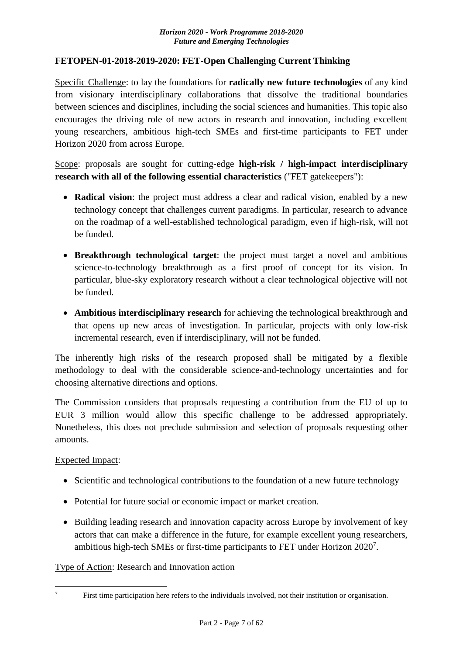### <span id="page-6-0"></span>**FETOPEN-01-2018-2019-2020: FET-Open Challenging Current Thinking**

Specific Challenge: to lay the foundations for **radically new future technologies** of any kind from visionary interdisciplinary collaborations that dissolve the traditional boundaries between sciences and disciplines, including the social sciences and humanities. This topic also encourages the driving role of new actors in research and innovation, including excellent young researchers, ambitious high-tech SMEs and first-time participants to FET under Horizon 2020 from across Europe.

Scope: proposals are sought for cutting-edge **high-risk / high-impact interdisciplinary research with all of the following essential characteristics** ("FET gatekeepers"):

- **Radical vision**: the project must address a clear and radical vision, enabled by a new technology concept that challenges current paradigms. In particular, research to advance on the roadmap of a well-established technological paradigm, even if high-risk, will not be funded.
- **Breakthrough technological target**: the project must target a novel and ambitious science-to-technology breakthrough as a first proof of concept for its vision. In particular, blue-sky exploratory research without a clear technological objective will not be funded.
- **Ambitious interdisciplinary research** for achieving the technological breakthrough and that opens up new areas of investigation. In particular, projects with only low-risk incremental research, even if interdisciplinary, will not be funded.

The inherently high risks of the research proposed shall be mitigated by a flexible methodology to deal with the considerable science-and-technology uncertainties and for choosing alternative directions and options.

The Commission considers that proposals requesting a contribution from the EU of up to EUR 3 million would allow this specific challenge to be addressed appropriately. Nonetheless, this does not preclude submission and selection of proposals requesting other amounts.

### Expected Impact:

<u>.</u>

- Scientific and technological contributions to the foundation of a new future technology
- Potential for future social or economic impact or market creation.
- Building leading research and innovation capacity across Europe by involvement of key actors that can make a difference in the future, for example excellent young researchers, ambitious high-tech SMEs or first-time participants to FET under Horizon 2020<sup>7</sup>.

Type of Action: Research and Innovation action

<sup>&</sup>lt;sup>7</sup> First time participation here refers to the individuals involved, not their institution or organisation.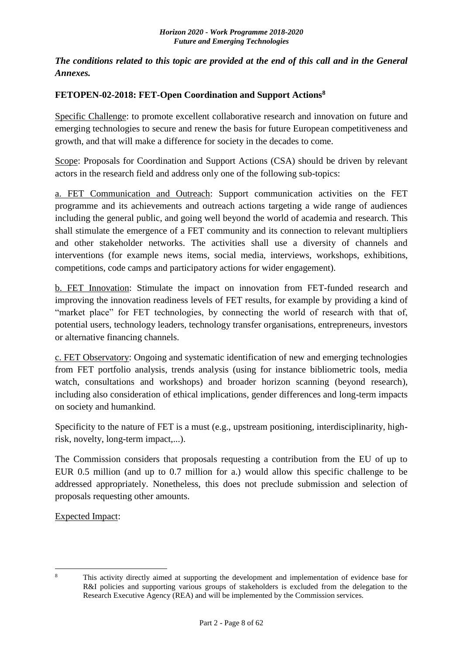*The conditions related to this topic are provided at the end of this call and in the General Annexes.*

## <span id="page-7-0"></span>**FETOPEN-02-2018: FET-Open Coordination and Support Actions<sup>8</sup>**

Specific Challenge: to promote excellent collaborative research and innovation on future and emerging technologies to secure and renew the basis for future European competitiveness and growth, and that will make a difference for society in the decades to come.

Scope: Proposals for Coordination and Support Actions (CSA) should be driven by relevant actors in the research field and address only one of the following sub-topics:

a. FET Communication and Outreach: Support communication activities on the FET programme and its achievements and outreach actions targeting a wide range of audiences including the general public, and going well beyond the world of academia and research. This shall stimulate the emergence of a FET community and its connection to relevant multipliers and other stakeholder networks. The activities shall use a diversity of channels and interventions (for example news items, social media, interviews, workshops, exhibitions, competitions, code camps and participatory actions for wider engagement).

b. FET Innovation: Stimulate the impact on innovation from FET-funded research and improving the innovation readiness levels of FET results, for example by providing a kind of "market place" for FET technologies, by connecting the world of research with that of, potential users, technology leaders, technology transfer organisations, entrepreneurs, investors or alternative financing channels.

c. FET Observatory: Ongoing and systematic identification of new and emerging technologies from FET portfolio analysis, trends analysis (using for instance bibliometric tools, media watch, consultations and workshops) and broader horizon scanning (beyond research), including also consideration of ethical implications, gender differences and long-term impacts on society and humankind.

Specificity to the nature of FET is a must (e.g., upstream positioning, interdisciplinarity, highrisk, novelty, long-term impact,...).

The Commission considers that proposals requesting a contribution from the EU of up to EUR 0.5 million (and up to 0.7 million for a.) would allow this specific challenge to be addressed appropriately. Nonetheless, this does not preclude submission and selection of proposals requesting other amounts.

Expected Impact:

 $\mathbf{R}$ 

This activity directly aimed at supporting the development and implementation of evidence base for R&I policies and supporting various groups of stakeholders is excluded from the delegation to the Research Executive Agency (REA) and will be implemented by the Commission services.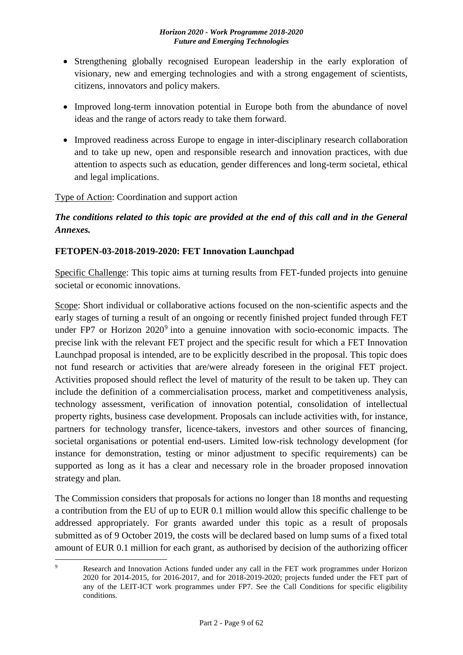- Strengthening globally recognised European leadership in the early exploration of visionary, new and emerging technologies and with a strong engagement of scientists, citizens, innovators and policy makers.
- Improved long-term innovation potential in Europe both from the abundance of novel ideas and the range of actors ready to take them forward.
- Improved readiness across Europe to engage in inter-disciplinary research collaboration and to take up new, open and responsible research and innovation practices, with due attention to aspects such as education, gender differences and long-term societal, ethical and legal implications.

## Type of Action: Coordination and support action

## *The conditions related to this topic are provided at the end of this call and in the General Annexes.*

## <span id="page-8-0"></span>**FETOPEN-03-2018-2019-2020: FET Innovation Launchpad**

Specific Challenge: This topic aims at turning results from FET-funded projects into genuine societal or economic innovations.

Scope: Short individual or collaborative actions focused on the non-scientific aspects and the early stages of turning a result of an ongoing or recently finished project funded through FET under FP7 or Horizon  $2020^9$  into a genuine innovation with socio-economic impacts. The precise link with the relevant FET project and the specific result for which a FET Innovation Launchpad proposal is intended, are to be explicitly described in the proposal. This topic does not fund research or activities that are/were already foreseen in the original FET project. Activities proposed should reflect the level of maturity of the result to be taken up. They can include the definition of a commercialisation process, market and competitiveness analysis, technology assessment, verification of innovation potential, consolidation of intellectual property rights, business case development. Proposals can include activities with, for instance, partners for technology transfer, licence-takers, investors and other sources of financing, societal organisations or potential end-users. Limited low-risk technology development (for instance for demonstration, testing or minor adjustment to specific requirements) can be supported as long as it has a clear and necessary role in the broader proposed innovation strategy and plan.

The Commission considers that proposals for actions no longer than 18 months and requesting a contribution from the EU of up to EUR 0.1 million would allow this specific challenge to be addressed appropriately. For grants awarded under this topic as a result of proposals submitted as of 9 October 2019, the costs will be declared based on lump sums of a fixed total amount of EUR 0.1 million for each grant, as authorised by decision of the authorizing officer

<sup>&</sup>lt;u>.</u> Research and Innovation Actions funded under any call in the FET work programmes under Horizon 2020 for 2014-2015, for 2016-2017, and for 2018-2019-2020; projects funded under the FET part of any of the LEIT-ICT work programmes under FP7. See the Call Conditions for specific eligibility conditions.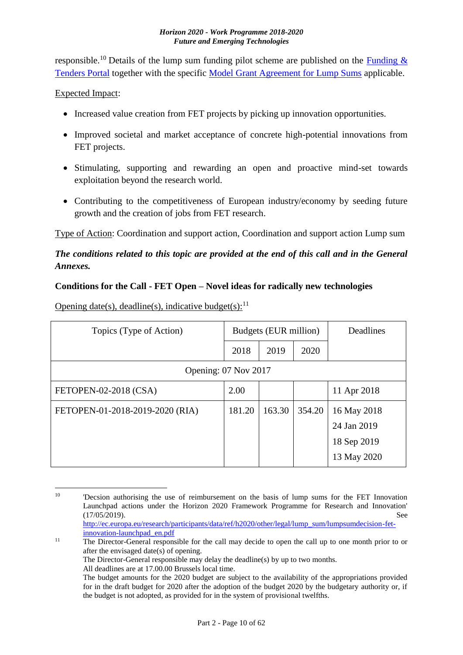responsible.<sup>10</sup> Details of the lump sum funding pilot scheme are published on the **Funding &** [Tenders Portal](http://ec.europa.eu/research/participants/docs/h2020-funding-guide/grants/applying-for-funding/find-a-call/what-you-need-to-know_en.htm) together with the specific [Model Grant Agreement for Lump Sums](http://ec.europa.eu/research/participants/data/ref/h2020/mga/lumpsum/h2020-mga-lumpsum-pilot-multi_en.pdf) applicable.

## Expected Impact:

- Increased value creation from FET projects by picking up innovation opportunities.
- Improved societal and market acceptance of concrete high-potential innovations from FET projects.
- Stimulating, supporting and rewarding an open and proactive mind-set towards exploitation beyond the research world.
- Contributing to the competitiveness of European industry/economy by seeding future growth and the creation of jobs from FET research.

Type of Action: Coordination and support action, Coordination and support action Lump sum

## *The conditions related to this topic are provided at the end of this call and in the General Annexes.*

## <span id="page-9-0"></span>**Conditions for the Call - FET Open – Novel ideas for radically new technologies**

Opening date(s), deadline(s), indicative budget(s): $^{11}$ 

| Topics (Type of Action)         | Budgets (EUR million) |        | Deadlines |             |
|---------------------------------|-----------------------|--------|-----------|-------------|
|                                 | 2018                  | 2019   | 2020      |             |
| Opening: 07 Nov 2017            |                       |        |           |             |
| FETOPEN-02-2018 (CSA)           | 2.00                  |        |           | 11 Apr 2018 |
| FETOPEN-01-2018-2019-2020 (RIA) | 181.20                | 163.30 | 354.20    | 16 May 2018 |
|                                 |                       |        |           | 24 Jan 2019 |
|                                 |                       |        |           | 18 Sep 2019 |
|                                 |                       |        |           | 13 May 2020 |

<sup>1</sup> <sup>10</sup> 'Decsion authorising the use of reimbursement on the basis of lump sums for the FET Innovation Launchpad actions under the Horizon 2020 Framework Programme for Research and Innovation' (17/05/2019). See [http://ec.europa.eu/research/participants/data/ref/h2020/other/legal/lump\\_sum/lumpsumdecision-fet-](http://ec.europa.eu/research/participants/data/ref/h2020/other/legal/lump_sum/lumpsumdecision-fet-innovation-launchpad_en.pdf)

[innovation-launchpad\\_en.pdf](http://ec.europa.eu/research/participants/data/ref/h2020/other/legal/lump_sum/lumpsumdecision-fet-innovation-launchpad_en.pdf) <sup>11</sup> The Director-General responsible for the call may decide to open the call up to one month prior to or after the envisaged date(s) of opening. The Director-General responsible may delay the deadline(s) by up to two months. All deadlines are at 17.00.00 Brussels local time. The budget amounts for the 2020 budget are subject to the availability of the appropriations provided for in the draft budget for 2020 after the adoption of the budget 2020 by the budgetary authority or, if the budget is not adopted, as provided for in the system of provisional twelfths.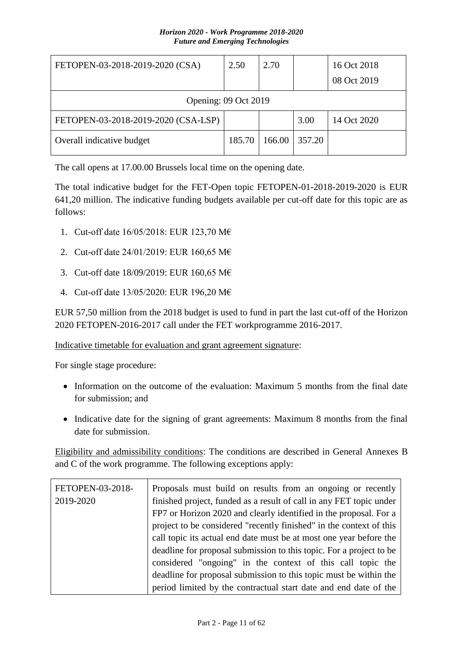| FETOPEN-03-2018-2019-2020 (CSA)     | 2.50   | 2.70   |        | 16 Oct 2018<br>08 Oct 2019 |
|-------------------------------------|--------|--------|--------|----------------------------|
|                                     |        |        |        |                            |
| Opening: 09 Oct 2019                |        |        |        |                            |
| FETOPEN-03-2018-2019-2020 (CSA-LSP) |        |        | 3.00   | 14 Oct 2020                |
| Overall indicative budget           | 185.70 | 166.00 | 357.20 |                            |

The call opens at 17.00.00 Brussels local time on the opening date.

The total indicative budget for the FET-Open topic FETOPEN-01-2018-2019-2020 is EUR 641,20 million. The indicative funding budgets available per cut-off date for this topic are as follows:

- 1. Cut-off date 16/05/2018: EUR 123,70 M€
- 2. Cut-off date 24/01/2019: EUR 160,65 M€
- 3. Cut-off date 18/09/2019: EUR 160,65 M€
- 4. Cut-off date 13/05/2020: EUR 196,20 M€

EUR 57,50 million from the 2018 budget is used to fund in part the last cut-off of the Horizon 2020 FETOPEN-2016-2017 call under the FET workprogramme 2016-2017.

Indicative timetable for evaluation and grant agreement signature:

For single stage procedure:

- Information on the outcome of the evaluation: Maximum 5 months from the final date for submission; and
- Indicative date for the signing of grant agreements: Maximum 8 months from the final date for submission.

Eligibility and admissibility conditions: The conditions are described in General Annexes B and C of the work programme. The following exceptions apply:

| FETOPEN-03-2018- | Proposals must build on results from an ongoing or recently         |
|------------------|---------------------------------------------------------------------|
| 2019-2020        | finished project, funded as a result of call in any FET topic under |
|                  | FP7 or Horizon 2020 and clearly identified in the proposal. For a   |
|                  | project to be considered "recently finished" in the context of this |
|                  | call topic its actual end date must be at most one year before the  |
|                  | deadline for proposal submission to this topic. For a project to be |
|                  | considered "ongoing" in the context of this call topic the          |
|                  | deadline for proposal submission to this topic must be within the   |
|                  | period limited by the contractual start date and end date of the    |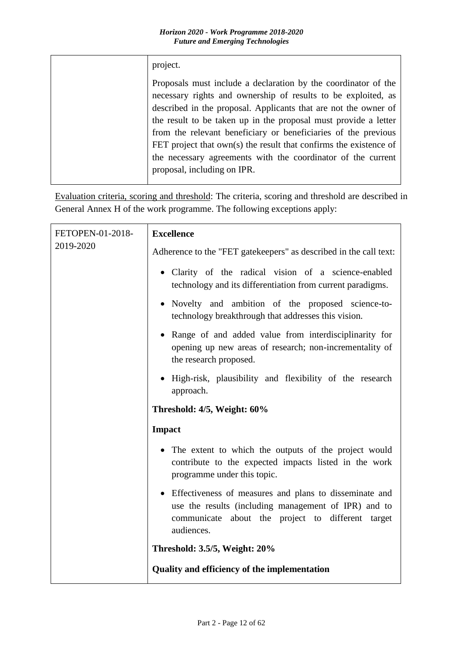| project.                                                                                                                                                                                                                                                                                                                                                                                                                                                                                                      |
|---------------------------------------------------------------------------------------------------------------------------------------------------------------------------------------------------------------------------------------------------------------------------------------------------------------------------------------------------------------------------------------------------------------------------------------------------------------------------------------------------------------|
| Proposals must include a declaration by the coordinator of the<br>necessary rights and ownership of results to be exploited, as<br>described in the proposal. Applicants that are not the owner of<br>the result to be taken up in the proposal must provide a letter<br>from the relevant beneficiary or beneficiaries of the previous<br>FET project that $own(s)$ the result that confirms the existence of<br>the necessary agreements with the coordinator of the current<br>proposal, including on IPR. |

Evaluation criteria, scoring and threshold: The criteria, scoring and threshold are described in General Annex H of the work programme. The following exceptions apply:

| FETOPEN-01-2018-<br>2019-2020 | <b>Excellence</b>                                                                                                                                                                   |
|-------------------------------|-------------------------------------------------------------------------------------------------------------------------------------------------------------------------------------|
|                               | Adherence to the "FET gate keepers" as described in the call text:                                                                                                                  |
|                               | • Clarity of the radical vision of a science-enabled<br>technology and its differentiation from current paradigms.                                                                  |
|                               | • Novelty and ambition of the proposed science-to-<br>technology breakthrough that addresses this vision.                                                                           |
|                               | • Range of and added value from interdisciplinarity for<br>opening up new areas of research; non-incrementality of<br>the research proposed.                                        |
|                               | · High-risk, plausibility and flexibility of the research<br>approach.                                                                                                              |
|                               | Threshold: 4/5, Weight: 60%                                                                                                                                                         |
|                               | <b>Impact</b>                                                                                                                                                                       |
|                               | • The extent to which the outputs of the project would<br>contribute to the expected impacts listed in the work<br>programme under this topic.                                      |
|                               | • Effectiveness of measures and plans to disseminate and<br>use the results (including management of IPR) and to<br>communicate about the project to different target<br>audiences. |
|                               | Threshold: 3.5/5, Weight: 20%                                                                                                                                                       |
|                               | Quality and efficiency of the implementation                                                                                                                                        |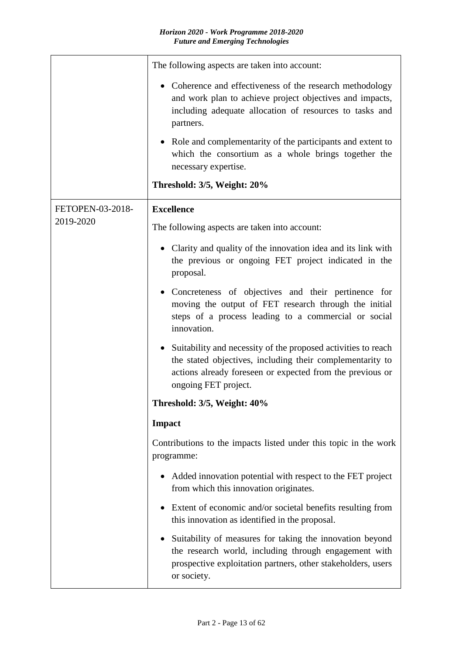|                  | The following aspects are taken into account:                                                                                                                                                                                |
|------------------|------------------------------------------------------------------------------------------------------------------------------------------------------------------------------------------------------------------------------|
|                  | • Coherence and effectiveness of the research methodology<br>and work plan to achieve project objectives and impacts,<br>including adequate allocation of resources to tasks and<br>partners.                                |
|                  | • Role and complementarity of the participants and extent to<br>which the consortium as a whole brings together the<br>necessary expertise.                                                                                  |
|                  | Threshold: 3/5, Weight: 20%                                                                                                                                                                                                  |
| FETOPEN-03-2018- | <b>Excellence</b>                                                                                                                                                                                                            |
| 2019-2020        | The following aspects are taken into account:                                                                                                                                                                                |
|                  | Clarity and quality of the innovation idea and its link with<br>the previous or ongoing FET project indicated in the<br>proposal.                                                                                            |
|                  | • Concreteness of objectives and their pertinence for<br>moving the output of FET research through the initial<br>steps of a process leading to a commercial or social<br>innovation.                                        |
|                  | Suitability and necessity of the proposed activities to reach<br>$\bullet$<br>the stated objectives, including their complementarity to<br>actions already foreseen or expected from the previous or<br>ongoing FET project. |
|                  | Threshold: 3/5, Weight: 40%                                                                                                                                                                                                  |
|                  | <b>Impact</b>                                                                                                                                                                                                                |
|                  | Contributions to the impacts listed under this topic in the work<br>programme:                                                                                                                                               |
|                  | Added innovation potential with respect to the FET project<br>from which this innovation originates.                                                                                                                         |
|                  | Extent of economic and/or societal benefits resulting from<br>this innovation as identified in the proposal.                                                                                                                 |
|                  | Suitability of measures for taking the innovation beyond<br>the research world, including through engagement with<br>prospective exploitation partners, other stakeholders, users<br>or society.                             |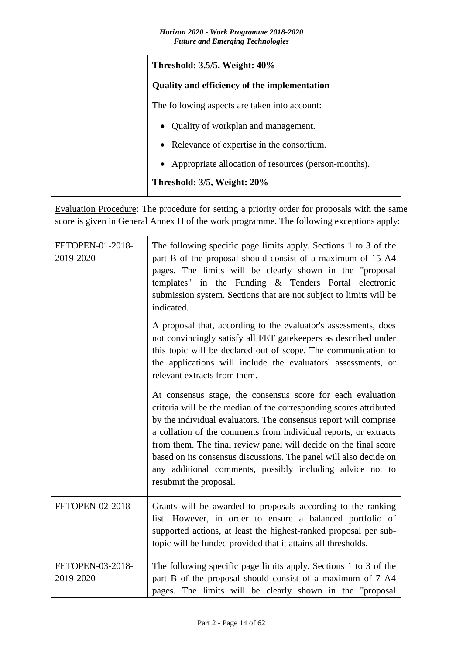| Threshold: 3.5/5, Weight: 40%                          |
|--------------------------------------------------------|
| <b>Quality and efficiency of the implementation</b>    |
| The following aspects are taken into account:          |
| • Quality of workplan and management.                  |
| • Relevance of expertise in the consortium.            |
| • Appropriate allocation of resources (person-months). |
| Threshold: 3/5, Weight: 20%                            |

Evaluation Procedure: The procedure for setting a priority order for proposals with the same score is given in General Annex H of the work programme. The following exceptions apply:

| FETOPEN-01-2018-<br>2019-2020 | The following specific page limits apply. Sections 1 to 3 of the<br>part B of the proposal should consist of a maximum of 15 A4<br>pages. The limits will be clearly shown in the "proposal<br>templates" in the Funding & Tenders Portal electronic<br>submission system. Sections that are not subject to limits will be<br>indicated.                                                                                                                                                                  |
|-------------------------------|-----------------------------------------------------------------------------------------------------------------------------------------------------------------------------------------------------------------------------------------------------------------------------------------------------------------------------------------------------------------------------------------------------------------------------------------------------------------------------------------------------------|
|                               | A proposal that, according to the evaluator's assessments, does<br>not convincingly satisfy all FET gatekeepers as described under<br>this topic will be declared out of scope. The communication to<br>the applications will include the evaluators' assessments, or<br>relevant extracts from them.                                                                                                                                                                                                     |
|                               | At consensus stage, the consensus score for each evaluation<br>criteria will be the median of the corresponding scores attributed<br>by the individual evaluators. The consensus report will comprise<br>a collation of the comments from individual reports, or extracts<br>from them. The final review panel will decide on the final score<br>based on its consensus discussions. The panel will also decide on<br>any additional comments, possibly including advice not to<br>resubmit the proposal. |
| FETOPEN-02-2018               | Grants will be awarded to proposals according to the ranking<br>list. However, in order to ensure a balanced portfolio of<br>supported actions, at least the highest-ranked proposal per sub-<br>topic will be funded provided that it attains all thresholds.                                                                                                                                                                                                                                            |
| FETOPEN-03-2018-<br>2019-2020 | The following specific page limits apply. Sections 1 to 3 of the<br>part B of the proposal should consist of a maximum of 7 A4<br>pages. The limits will be clearly shown in the "proposal                                                                                                                                                                                                                                                                                                                |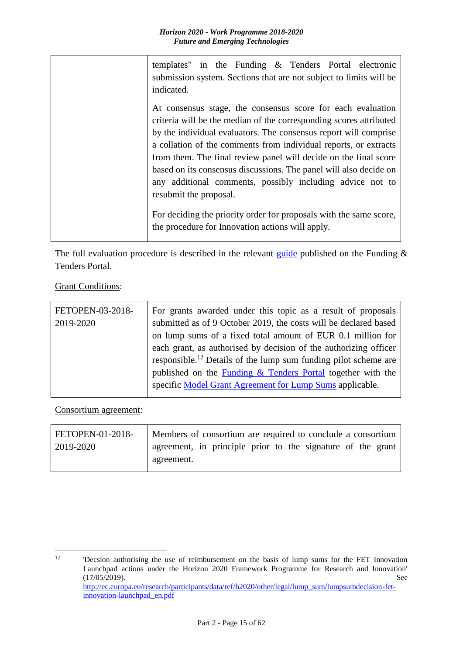| templates" in the Funding $\&$ Tenders Portal electronic<br>submission system. Sections that are not subject to limits will be<br>indicated.                                                                                                                                                                                                                                                                                                                                                                                                                                                                                        |
|-------------------------------------------------------------------------------------------------------------------------------------------------------------------------------------------------------------------------------------------------------------------------------------------------------------------------------------------------------------------------------------------------------------------------------------------------------------------------------------------------------------------------------------------------------------------------------------------------------------------------------------|
| At consensus stage, the consensus score for each evaluation<br>criteria will be the median of the corresponding scores attributed<br>by the individual evaluators. The consensus report will comprise<br>a collation of the comments from individual reports, or extracts<br>from them. The final review panel will decide on the final score<br>based on its consensus discussions. The panel will also decide on<br>any additional comments, possibly including advice not to<br>resubmit the proposal.<br>For deciding the priority order for proposals with the same score,<br>the procedure for Innovation actions will apply. |

The full evaluation procedure is described in the relevant [guide](http://ec.europa.eu/research/participants/docs/h2020-funding-guide/grants/applying-for-funding/submit-proposals_en.htm) published on the Funding  $\&$ Tenders Portal.

**Grant Conditions:** 

| FETOPEN-03-2018- | For grants awarded under this topic as a result of proposals                |
|------------------|-----------------------------------------------------------------------------|
| 2019-2020        | submitted as of 9 October 2019, the costs will be declared based            |
|                  | on lump sums of a fixed total amount of EUR 0.1 million for                 |
|                  | each grant, as authorised by decision of the authorizing officer            |
|                  | responsible. <sup>12</sup> Details of the lump sum funding pilot scheme are |
|                  | published on the <b>Funding &amp; Tenders Portal</b> together with the      |
|                  | specific Model Grant Agreement for Lump Sums applicable.                    |
|                  |                                                                             |

Consortium agreement:

| FETOPEN-01-2018- | Members of consortium are required to conclude a consortium |  |  |  |  |  |
|------------------|-------------------------------------------------------------|--|--|--|--|--|
| 2019-2020        | agreement, in principle prior to the signature of the grant |  |  |  |  |  |
|                  | agreement.                                                  |  |  |  |  |  |

 $12$ <sup>12</sup> 'Decsion authorising the use of reimbursement on the basis of lump sums for the FET Innovation Launchpad actions under the Horizon 2020 Framework Programme for Research and Innovation' (17/05/2019). See [http://ec.europa.eu/research/participants/data/ref/h2020/other/legal/lump\\_sum/lumpsumdecision-fet](http://ec.europa.eu/research/participants/data/ref/h2020/other/legal/lump_sum/lumpsumdecision-fet-innovation-launchpad_en.pdf)[innovation-launchpad\\_en.pdf](http://ec.europa.eu/research/participants/data/ref/h2020/other/legal/lump_sum/lumpsumdecision-fet-innovation-launchpad_en.pdf)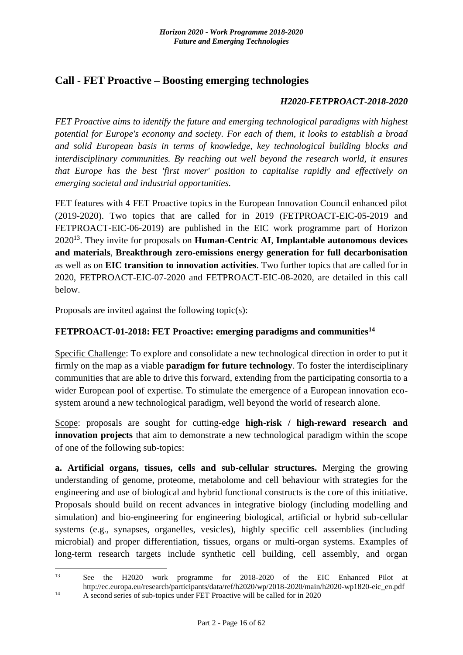## <span id="page-15-0"></span>**Call - FET Proactive – Boosting emerging technologies**

### *H2020-FETPROACT-2018-2020*

*FET Proactive aims to identify the future and emerging technological paradigms with highest potential for Europe's economy and society. For each of them, it looks to establish a broad and solid European basis in terms of knowledge, key technological building blocks and interdisciplinary communities. By reaching out well beyond the research world, it ensures that Europe has the best 'first mover' position to capitalise rapidly and effectively on emerging societal and industrial opportunities.*

FET features with 4 FET Proactive topics in the European Innovation Council enhanced pilot (2019-2020). Two topics that are called for in 2019 (FETPROACT-EIC-05-2019 and FETPROACT-EIC-06-2019) are published in the EIC work programme part of Horizon 2020<sup>13</sup>. They invite for proposals on **Human-Centric AI**, **Implantable autonomous devices and materials**, **Breakthrough zero-emissions energy generation for full decarbonisation**  as well as on **EIC transition to innovation activities**. Two further topics that are called for in 2020, FETPROACT-EIC-07-2020 and FETPROACT-EIC-08-2020, are detailed in this call below.

Proposals are invited against the following topic(s):

## <span id="page-15-1"></span>**FETPROACT-01-2018: FET Proactive: emerging paradigms and communities<sup>14</sup>**

Specific Challenge: To explore and consolidate a new technological direction in order to put it firmly on the map as a viable **paradigm for future technology**. To foster the interdisciplinary communities that are able to drive this forward, extending from the participating consortia to a wider European pool of expertise. To stimulate the emergence of a European innovation ecosystem around a new technological paradigm, well beyond the world of research alone.

Scope: proposals are sought for cutting-edge **high-risk / high-reward research and innovation projects** that aim to demonstrate a new technological paradigm within the scope of one of the following sub-topics:

**a. Artificial organs, tissues, cells and sub-cellular structures.** Merging the growing understanding of genome, proteome, metabolome and cell behaviour with strategies for the engineering and use of biological and hybrid functional constructs is the core of this initiative. Proposals should build on recent advances in integrative biology (including modelling and simulation) and bio-engineering for engineering biological, artificial or hybrid sub-cellular systems (e.g., synapses, organelles, vesicles), highly specific cell assemblies (including microbial) and proper differentiation, tissues, organs or multi-organ systems. Examples of long-term research targets include synthetic cell building, cell assembly, and organ

 $13$ See the H2020 work programme for 2018-2020 of the EIC Enhanced Pilot at http://ec.europa.eu/research/participants/data/ref/h2020/wp/2018-2020/main/h2020-wp1820-eic\_en.pdf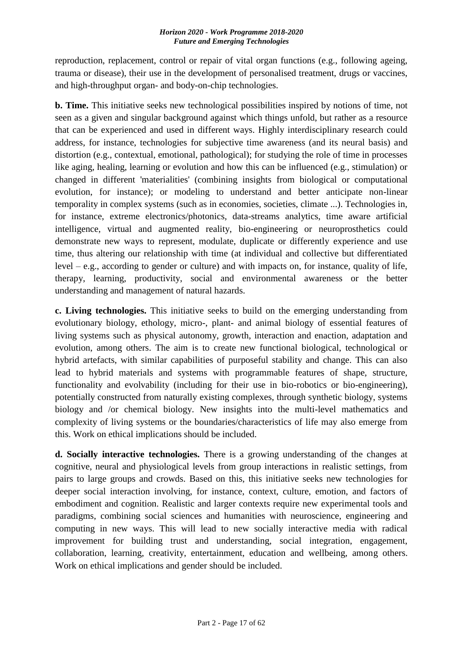reproduction, replacement, control or repair of vital organ functions (e.g., following ageing, trauma or disease), their use in the development of personalised treatment, drugs or vaccines, and high-throughput organ- and body-on-chip technologies.

**b. Time.** This initiative seeks new technological possibilities inspired by notions of time, not seen as a given and singular background against which things unfold, but rather as a resource that can be experienced and used in different ways. Highly interdisciplinary research could address, for instance, technologies for subjective time awareness (and its neural basis) and distortion (e.g., contextual, emotional, pathological); for studying the role of time in processes like aging, healing, learning or evolution and how this can be influenced (e.g., stimulation) or changed in different 'materialities' (combining insights from biological or computational evolution, for instance); or modeling to understand and better anticipate non-linear temporality in complex systems (such as in economies, societies, climate ...). Technologies in, for instance, extreme electronics/photonics, data-streams analytics, time aware artificial intelligence, virtual and augmented reality, bio-engineering or neuroprosthetics could demonstrate new ways to represent, modulate, duplicate or differently experience and use time, thus altering our relationship with time (at individual and collective but differentiated level – e.g., according to gender or culture) and with impacts on, for instance, quality of life, therapy, learning, productivity, social and environmental awareness or the better understanding and management of natural hazards.

**c. Living technologies.** This initiative seeks to build on the emerging understanding from evolutionary biology, ethology, micro-, plant- and animal biology of essential features of living systems such as physical autonomy, growth, interaction and enaction, adaptation and evolution, among others. The aim is to create new functional biological, technological or hybrid artefacts, with similar capabilities of purposeful stability and change. This can also lead to hybrid materials and systems with programmable features of shape, structure, functionality and evolvability (including for their use in bio-robotics or bio-engineering), potentially constructed from naturally existing complexes, through synthetic biology, systems biology and /or chemical biology. New insights into the multi-level mathematics and complexity of living systems or the boundaries/characteristics of life may also emerge from this. Work on ethical implications should be included.

**d. Socially interactive technologies.** There is a growing understanding of the changes at cognitive, neural and physiological levels from group interactions in realistic settings, from pairs to large groups and crowds. Based on this, this initiative seeks new technologies for deeper social interaction involving, for instance, context, culture, emotion, and factors of embodiment and cognition. Realistic and larger contexts require new experimental tools and paradigms, combining social sciences and humanities with neuroscience, engineering and computing in new ways. This will lead to new socially interactive media with radical improvement for building trust and understanding, social integration, engagement, collaboration, learning, creativity, entertainment, education and wellbeing, among others. Work on ethical implications and gender should be included.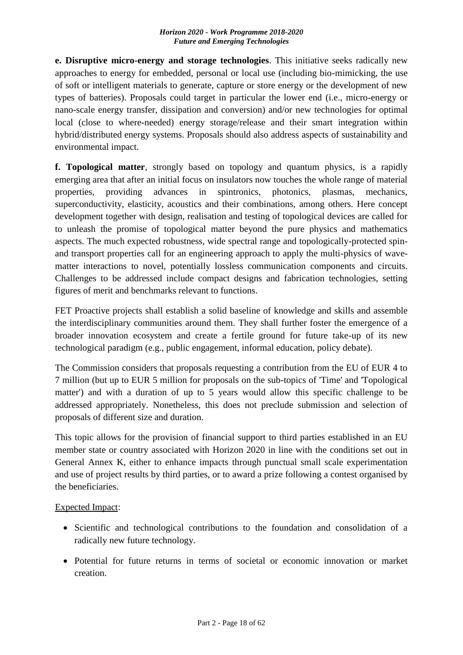**e. Disruptive micro-energy and storage technologies**. This initiative seeks radically new approaches to energy for embedded, personal or local use (including bio-mimicking, the use of soft or intelligent materials to generate, capture or store energy or the development of new types of batteries). Proposals could target in particular the lower end (i.e., micro-energy or nano-scale energy transfer, dissipation and conversion) and/or new technologies for optimal local (close to where-needed) energy storage/release and their smart integration within hybrid/distributed energy systems. Proposals should also address aspects of sustainability and environmental impact.

**f. Topological matter**, strongly based on topology and quantum physics, is a rapidly emerging area that after an initial focus on insulators now touches the whole range of material properties, providing advances in spintronics, photonics, plasmas, mechanics, superconductivity, elasticity, acoustics and their combinations, among others. Here concept development together with design, realisation and testing of topological devices are called for to unleash the promise of topological matter beyond the pure physics and mathematics aspects. The much expected robustness, wide spectral range and topologically-protected spinand transport properties call for an engineering approach to apply the multi-physics of wavematter interactions to novel, potentially lossless communication components and circuits. Challenges to be addressed include compact designs and fabrication technologies, setting figures of merit and benchmarks relevant to functions.

FET Proactive projects shall establish a solid baseline of knowledge and skills and assemble the interdisciplinary communities around them. They shall further foster the emergence of a broader innovation ecosystem and create a fertile ground for future take-up of its new technological paradigm (e.g., public engagement, informal education, policy debate).

The Commission considers that proposals requesting a contribution from the EU of EUR 4 to 7 million (but up to EUR 5 million for proposals on the sub-topics of 'Time' and 'Topological matter') and with a duration of up to 5 years would allow this specific challenge to be addressed appropriately. Nonetheless, this does not preclude submission and selection of proposals of different size and duration.

This topic allows for the provision of financial support to third parties established in an EU member state or country associated with Horizon 2020 in line with the conditions set out in General Annex K, either to enhance impacts through punctual small scale experimentation and use of project results by third parties, or to award a prize following a contest organised by the beneficiaries.

Expected Impact:

- Scientific and technological contributions to the foundation and consolidation of a radically new future technology.
- Potential for future returns in terms of societal or economic innovation or market creation.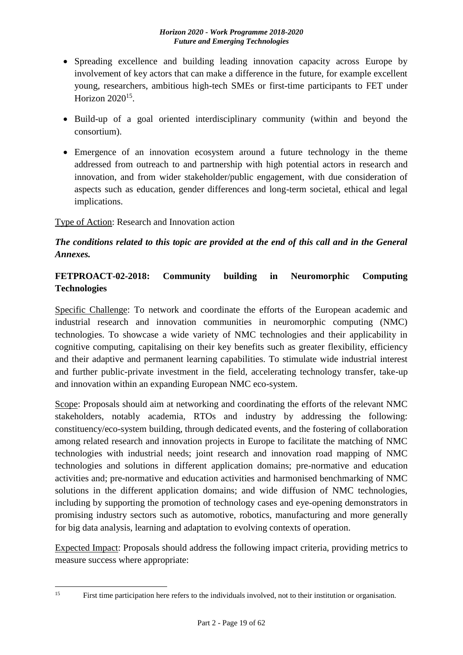- Spreading excellence and building leading innovation capacity across Europe by involvement of key actors that can make a difference in the future, for example excellent young, researchers, ambitious high-tech SMEs or first-time participants to FET under Horizon 2020<sup>15</sup>.
- Build-up of a goal oriented interdisciplinary community (within and beyond the consortium).
- Emergence of an innovation ecosystem around a future technology in the theme addressed from outreach to and partnership with high potential actors in research and innovation, and from wider stakeholder/public engagement, with due consideration of aspects such as education, gender differences and long-term societal, ethical and legal implications.

## Type of Action: Research and Innovation action

## *The conditions related to this topic are provided at the end of this call and in the General Annexes.*

## <span id="page-18-0"></span>**FETPROACT-02-2018: Community building in Neuromorphic Computing Technologies**

Specific Challenge: To network and coordinate the efforts of the European academic and industrial research and innovation communities in neuromorphic computing (NMC) technologies. To showcase a wide variety of NMC technologies and their applicability in cognitive computing, capitalising on their key benefits such as greater flexibility, efficiency and their adaptive and permanent learning capabilities. To stimulate wide industrial interest and further public-private investment in the field, accelerating technology transfer, take-up and innovation within an expanding European NMC eco-system.

Scope: Proposals should aim at networking and coordinating the efforts of the relevant NMC stakeholders, notably academia, RTOs and industry by addressing the following: constituency/eco-system building, through dedicated events, and the fostering of collaboration among related research and innovation projects in Europe to facilitate the matching of NMC technologies with industrial needs; joint research and innovation road mapping of NMC technologies and solutions in different application domains; pre-normative and education activities and; pre-normative and education activities and harmonised benchmarking of NMC solutions in the different application domains; and wide diffusion of NMC technologies, including by supporting the promotion of technology cases and eye-opening demonstrators in promising industry sectors such as automotive, robotics, manufacturing and more generally for big data analysis, learning and adaptation to evolving contexts of operation.

Expected Impact: Proposals should address the following impact criteria, providing metrics to measure success where appropriate:

 $15$ 

First time participation here refers to the individuals involved, not to their institution or organisation.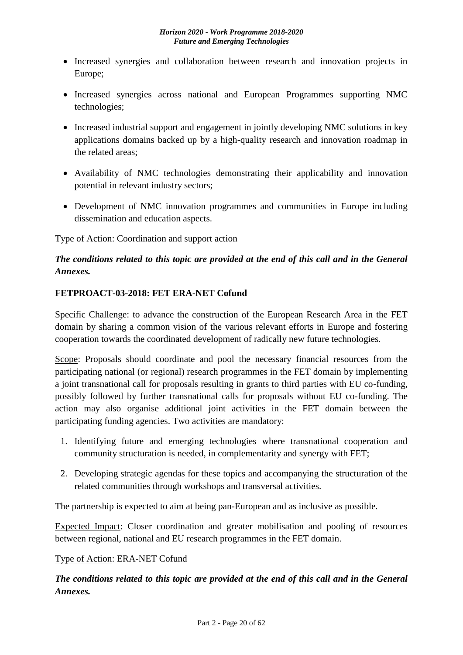- Increased synergies and collaboration between research and innovation projects in Europe;
- Increased synergies across national and European Programmes supporting NMC technologies;
- Increased industrial support and engagement in jointly developing NMC solutions in key applications domains backed up by a high-quality research and innovation roadmap in the related areas;
- Availability of NMC technologies demonstrating their applicability and innovation potential in relevant industry sectors;
- Development of NMC innovation programmes and communities in Europe including dissemination and education aspects.

Type of Action: Coordination and support action

## *The conditions related to this topic are provided at the end of this call and in the General Annexes.*

## <span id="page-19-0"></span>**FETPROACT-03-2018: FET ERA-NET Cofund**

Specific Challenge: to advance the construction of the European Research Area in the FET domain by sharing a common vision of the various relevant efforts in Europe and fostering cooperation towards the coordinated development of radically new future technologies.

Scope: Proposals should coordinate and pool the necessary financial resources from the participating national (or regional) research programmes in the FET domain by implementing a joint transnational call for proposals resulting in grants to third parties with EU co-funding, possibly followed by further transnational calls for proposals without EU co-funding. The action may also organise additional joint activities in the FET domain between the participating funding agencies. Two activities are mandatory:

- 1. Identifying future and emerging technologies where transnational cooperation and community structuration is needed, in complementarity and synergy with FET;
- 2. Developing strategic agendas for these topics and accompanying the structuration of the related communities through workshops and transversal activities.

The partnership is expected to aim at being pan-European and as inclusive as possible.

Expected Impact: Closer coordination and greater mobilisation and pooling of resources between regional, national and EU research programmes in the FET domain.

## Type of Action: ERA-NET Cofund

*The conditions related to this topic are provided at the end of this call and in the General Annexes.*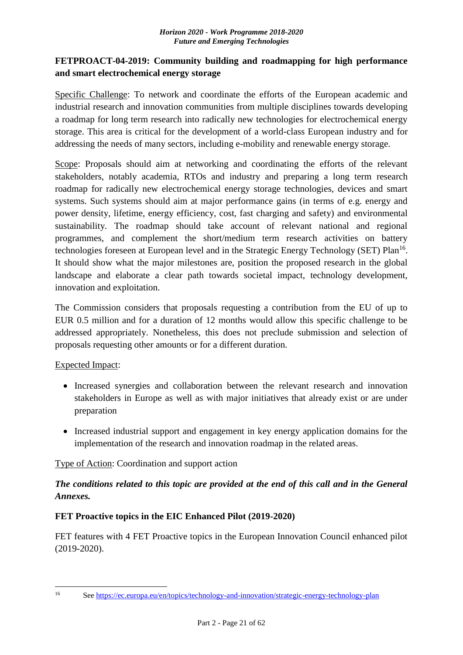## <span id="page-20-0"></span>**FETPROACT-04-2019: Community building and roadmapping for high performance and smart electrochemical energy storage**

Specific Challenge: To network and coordinate the efforts of the European academic and industrial research and innovation communities from multiple disciplines towards developing a roadmap for long term research into radically new technologies for electrochemical energy storage. This area is critical for the development of a world-class European industry and for addressing the needs of many sectors, including e-mobility and renewable energy storage.

Scope: Proposals should aim at networking and coordinating the efforts of the relevant stakeholders, notably academia, RTOs and industry and preparing a long term research roadmap for radically new electrochemical energy storage technologies, devices and smart systems. Such systems should aim at major performance gains (in terms of e.g. energy and power density, lifetime, energy efficiency, cost, fast charging and safety) and environmental sustainability. The roadmap should take account of relevant national and regional programmes, and complement the short/medium term research activities on battery technologies foreseen at European level and in the Strategic Energy Technology (SET) Plan<sup>16</sup>. It should show what the major milestones are, position the proposed research in the global landscape and elaborate a clear path towards societal impact, technology development, innovation and exploitation.

The Commission considers that proposals requesting a contribution from the EU of up to EUR 0.5 million and for a duration of 12 months would allow this specific challenge to be addressed appropriately. Nonetheless, this does not preclude submission and selection of proposals requesting other amounts or for a different duration.

## Expected Impact:

- Increased synergies and collaboration between the relevant research and innovation stakeholders in Europe as well as with major initiatives that already exist or are under preparation
- Increased industrial support and engagement in key energy application domains for the implementation of the research and innovation roadmap in the related areas.

## Type of Action: Coordination and support action

## *The conditions related to this topic are provided at the end of this call and in the General Annexes.*

## <span id="page-20-1"></span>**FET Proactive topics in the EIC Enhanced Pilot (2019-2020)**

FET features with 4 FET Proactive topics in the European Innovation Council enhanced pilot (2019-2020).

 $16$ 

<sup>16</sup> See<https://ec.europa.eu/en/topics/technology-and-innovation/strategic-energy-technology-plan>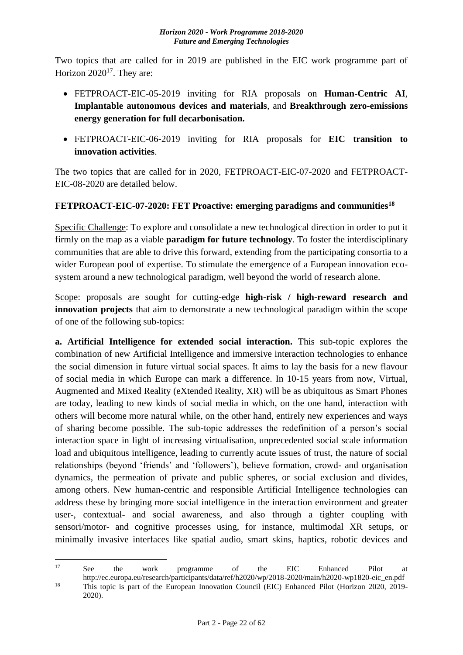Two topics that are called for in 2019 are published in the EIC work programme part of Horizon  $2020^{17}$ . They are:

- FETPROACT-EIC-05-2019 inviting for RIA proposals on **Human-Centric AI**, **Implantable autonomous devices and materials**, and **Breakthrough zero-emissions energy generation for full decarbonisation.**
- FETPROACT-EIC-06-2019 inviting for RIA proposals for **EIC transition to innovation activities**.

The two topics that are called for in 2020, FETPROACT-EIC-07-2020 and FETPROACT-EIC-08-2020 are detailed below.

## <span id="page-21-0"></span>**FETPROACT-EIC-07-2020: FET Proactive: emerging paradigms and communities<sup>18</sup>**

Specific Challenge: To explore and consolidate a new technological direction in order to put it firmly on the map as a viable **paradigm for future technology**. To foster the interdisciplinary communities that are able to drive this forward, extending from the participating consortia to a wider European pool of expertise. To stimulate the emergence of a European innovation ecosystem around a new technological paradigm, well beyond the world of research alone.

Scope: proposals are sought for cutting-edge **high-risk / high-reward research and innovation projects** that aim to demonstrate a new technological paradigm within the scope of one of the following sub-topics:

**a. Artificial Intelligence for extended social interaction.** This sub-topic explores the combination of new Artificial Intelligence and immersive interaction technologies to enhance the social dimension in future virtual social spaces. It aims to lay the basis for a new flavour of social media in which Europe can mark a difference. In 10-15 years from now, Virtual, Augmented and Mixed Reality (eXtended Reality, XR) will be as ubiquitous as Smart Phones are today, leading to new kinds of social media in which, on the one hand, interaction with others will become more natural while, on the other hand, entirely new experiences and ways of sharing become possible. The sub-topic addresses the redefinition of a person's social interaction space in light of increasing virtualisation, unprecedented social scale information load and ubiquitous intelligence, leading to currently acute issues of trust, the nature of social relationships (beyond 'friends' and 'followers'), believe formation, crowd- and organisation dynamics, the permeation of private and public spheres, or social exclusion and divides, among others. New human-centric and responsible Artificial Intelligence technologies can address these by bringing more social intelligence in the interaction environment and greater user-, contextual- and social awareness, and also through a tighter coupling with sensori/motor- and cognitive processes using, for instance, multimodal XR setups, or minimally invasive interfaces like spatial audio, smart skins, haptics, robotic devices and

 $17$ <sup>17</sup> See the work programme of the EIC Enhanced Pilot at http://ec.europa.eu/research/participants/data/ref/h2020/wp/2018-2020/main/h2020-wp1820-eic\_en.pdf <sup>18</sup> This topic is part of the European Innovation Council (EIC) Enhanced Pilot (Horizon 2020, 2019-

<sup>2020).</sup>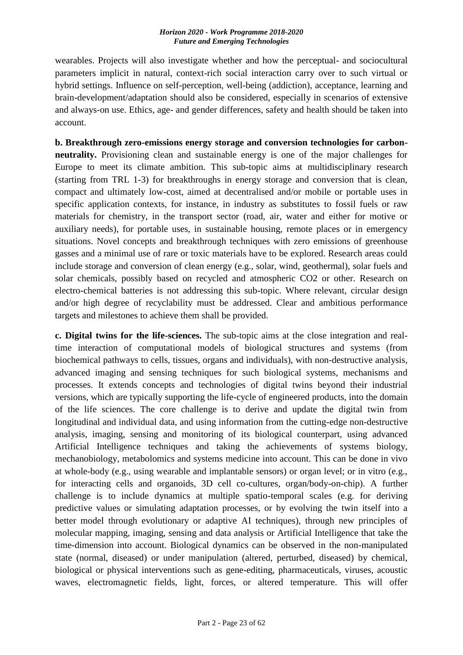wearables. Projects will also investigate whether and how the perceptual- and sociocultural parameters implicit in natural, context-rich social interaction carry over to such virtual or hybrid settings. Influence on self-perception, well-being (addiction), acceptance, learning and brain-development/adaptation should also be considered, especially in scenarios of extensive and always-on use. Ethics, age- and gender differences, safety and health should be taken into account.

**b. Breakthrough zero-emissions energy storage and conversion technologies for carbonneutrality.** Provisioning clean and sustainable energy is one of the major challenges for Europe to meet its climate ambition. This sub-topic aims at multidisciplinary research (starting from TRL 1-3) for breakthroughs in energy storage and conversion that is clean, compact and ultimately low-cost, aimed at decentralised and/or mobile or portable uses in specific application contexts, for instance, in industry as substitutes to fossil fuels or raw materials for chemistry, in the transport sector (road, air, water and either for motive or auxiliary needs), for portable uses, in sustainable housing, remote places or in emergency situations. Novel concepts and breakthrough techniques with zero emissions of greenhouse gasses and a minimal use of rare or toxic materials have to be explored. Research areas could include storage and conversion of clean energy (e.g., solar, wind, geothermal), solar fuels and solar chemicals, possibly based on recycled and atmospheric CO2 or other. Research on electro-chemical batteries is not addressing this sub-topic. Where relevant, circular design and/or high degree of recyclability must be addressed. Clear and ambitious performance targets and milestones to achieve them shall be provided.

**c. Digital twins for the life-sciences.** The sub-topic aims at the close integration and realtime interaction of computational models of biological structures and systems (from biochemical pathways to cells, tissues, organs and individuals), with non-destructive analysis, advanced imaging and sensing techniques for such biological systems, mechanisms and processes. It extends concepts and technologies of digital twins beyond their industrial versions, which are typically supporting the life-cycle of engineered products, into the domain of the life sciences. The core challenge is to derive and update the digital twin from longitudinal and individual data, and using information from the cutting-edge non-destructive analysis, imaging, sensing and monitoring of its biological counterpart, using advanced Artificial Intelligence techniques and taking the achievements of systems biology, mechanobiology, metabolomics and systems medicine into account. This can be done in vivo at whole-body (e.g., using wearable and implantable sensors) or organ level; or in vitro (e.g., for interacting cells and organoids, 3D cell co-cultures, organ/body-on-chip). A further challenge is to include dynamics at multiple spatio-temporal scales (e.g. for deriving predictive values or simulating adaptation processes, or by evolving the twin itself into a better model through evolutionary or adaptive AI techniques), through new principles of molecular mapping, imaging, sensing and data analysis or Artificial Intelligence that take the time-dimension into account. Biological dynamics can be observed in the non-manipulated state (normal, diseased) or under manipulation (altered, perturbed, diseased) by chemical, biological or physical interventions such as gene-editing, pharmaceuticals, viruses, acoustic waves, electromagnetic fields, light, forces, or altered temperature. This will offer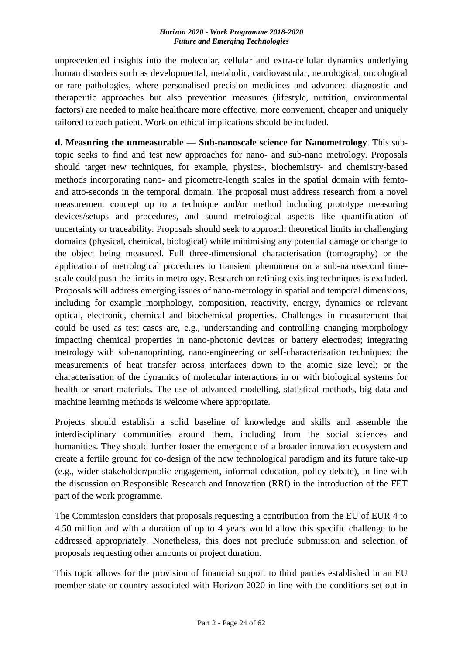unprecedented insights into the molecular, cellular and extra-cellular dynamics underlying human disorders such as developmental, metabolic, cardiovascular, neurological, oncological or rare pathologies, where personalised precision medicines and advanced diagnostic and therapeutic approaches but also prevention measures (lifestyle, nutrition, environmental factors) are needed to make healthcare more effective, more convenient, cheaper and uniquely tailored to each patient. Work on ethical implications should be included.

**d. Measuring the unmeasurable –– Sub-nanoscale science for Nanometrology**. This subtopic seeks to find and test new approaches for nano- and sub-nano metrology. Proposals should target new techniques, for example, physics-, biochemistry- and chemistry-based methods incorporating nano- and picometre-length scales in the spatial domain with femtoand atto-seconds in the temporal domain. The proposal must address research from a novel measurement concept up to a technique and/or method including prototype measuring devices/setups and procedures, and sound metrological aspects like quantification of uncertainty or traceability. Proposals should seek to approach theoretical limits in challenging domains (physical, chemical, biological) while minimising any potential damage or change to the object being measured. Full three-dimensional characterisation (tomography) or the application of metrological procedures to transient phenomena on a sub-nanosecond timescale could push the limits in metrology. Research on refining existing techniques is excluded. Proposals will address emerging issues of nano-metrology in spatial and temporal dimensions, including for example morphology, composition, reactivity, energy, dynamics or relevant optical, electronic, chemical and biochemical properties. Challenges in measurement that could be used as test cases are, e.g., understanding and controlling changing morphology impacting chemical properties in nano-photonic devices or battery electrodes; integrating metrology with sub-nanoprinting, nano-engineering or self-characterisation techniques; the measurements of heat transfer across interfaces down to the atomic size level; or the characterisation of the dynamics of molecular interactions in or with biological systems for health or smart materials. The use of advanced modelling, statistical methods, big data and machine learning methods is welcome where appropriate.

Projects should establish a solid baseline of knowledge and skills and assemble the interdisciplinary communities around them, including from the social sciences and humanities. They should further foster the emergence of a broader innovation ecosystem and create a fertile ground for co-design of the new technological paradigm and its future take-up (e.g., wider stakeholder/public engagement, informal education, policy debate), in line with the discussion on Responsible Research and Innovation (RRI) in the introduction of the FET part of the work programme.

The Commission considers that proposals requesting a contribution from the EU of EUR 4 to 4.50 million and with a duration of up to 4 years would allow this specific challenge to be addressed appropriately. Nonetheless, this does not preclude submission and selection of proposals requesting other amounts or project duration.

This topic allows for the provision of financial support to third parties established in an EU member state or country associated with Horizon 2020 in line with the conditions set out in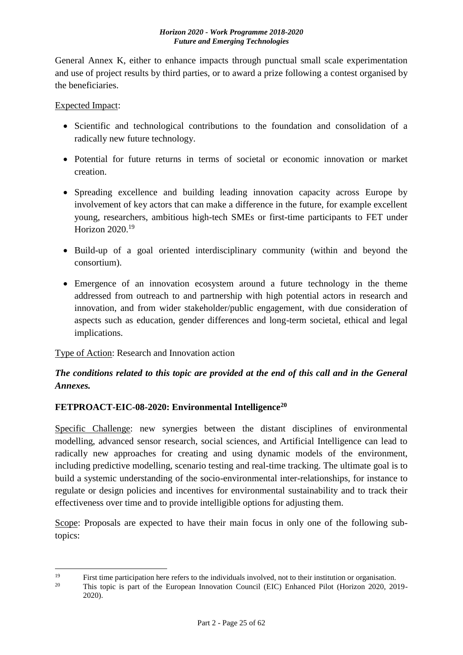General Annex K, either to enhance impacts through punctual small scale experimentation and use of project results by third parties, or to award a prize following a contest organised by the beneficiaries.

## Expected Impact:

- Scientific and technological contributions to the foundation and consolidation of a radically new future technology.
- Potential for future returns in terms of societal or economic innovation or market creation.
- Spreading excellence and building leading innovation capacity across Europe by involvement of key actors that can make a difference in the future, for example excellent young, researchers, ambitious high-tech SMEs or first-time participants to FET under Horizon 2020.<sup>19</sup>
- Build-up of a goal oriented interdisciplinary community (within and beyond the consortium).
- Emergence of an innovation ecosystem around a future technology in the theme addressed from outreach to and partnership with high potential actors in research and innovation, and from wider stakeholder/public engagement, with due consideration of aspects such as education, gender differences and long-term societal, ethical and legal implications.

## Type of Action: Research and Innovation action

## *The conditions related to this topic are provided at the end of this call and in the General Annexes.*

## <span id="page-24-0"></span>**FETPROACT-EIC-08-2020: Environmental Intelligence<sup>20</sup>**

Specific Challenge: new synergies between the distant disciplines of environmental modelling, advanced sensor research, social sciences, and Artificial Intelligence can lead to radically new approaches for creating and using dynamic models of the environment, including predictive modelling, scenario testing and real-time tracking. The ultimate goal is to build a systemic understanding of the socio-environmental inter-relationships, for instance to regulate or design policies and incentives for environmental sustainability and to track their effectiveness over time and to provide intelligible options for adjusting them.

Scope: Proposals are expected to have their main focus in only one of the following subtopics:

 $19$ <sup>19</sup> First time participation here refers to the individuals involved, not to their institution or organisation.<br><sup>20</sup> This tonic is part of the European Innovation Council (EIC) Enhanced Bilet (Herizon 2020, 20

<sup>20</sup> This topic is part of the European Innovation Council (EIC) Enhanced Pilot (Horizon 2020, 2019- 2020).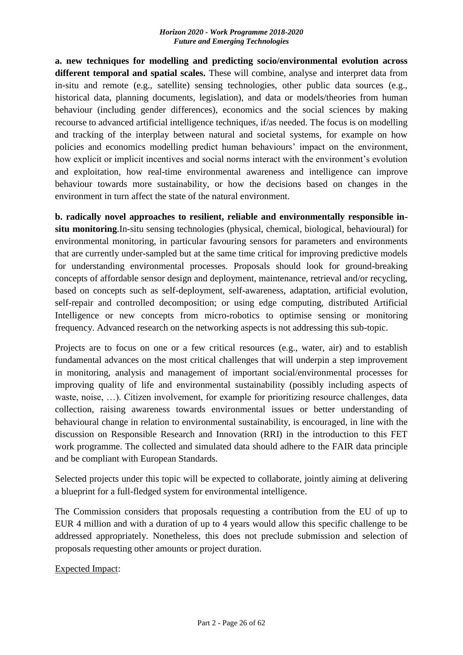**a. new techniques for modelling and predicting socio/environmental evolution across different temporal and spatial scales.** These will combine, analyse and interpret data from in-situ and remote (e.g., satellite) sensing technologies, other public data sources (e.g., historical data, planning documents, legislation), and data or models/theories from human behaviour (including gender differences), economics and the social sciences by making recourse to advanced artificial intelligence techniques, if/as needed. The focus is on modelling and tracking of the interplay between natural and societal systems, for example on how policies and economics modelling predict human behaviours' impact on the environment, how explicit or implicit incentives and social norms interact with the environment's evolution and exploitation, how real-time environmental awareness and intelligence can improve behaviour towards more sustainability, or how the decisions based on changes in the environment in turn affect the state of the natural environment.

**b. radically novel approaches to resilient, reliable and environmentally responsible insitu monitoring**.In-situ sensing technologies (physical, chemical, biological, behavioural) for environmental monitoring, in particular favouring sensors for parameters and environments that are currently under-sampled but at the same time critical for improving predictive models for understanding environmental processes. Proposals should look for ground-breaking concepts of affordable sensor design and deployment, maintenance, retrieval and/or recycling, based on concepts such as self-deployment, self-awareness, adaptation, artificial evolution, self-repair and controlled decomposition; or using edge computing, distributed Artificial Intelligence or new concepts from micro-robotics to optimise sensing or monitoring frequency. Advanced research on the networking aspects is not addressing this sub-topic.

Projects are to focus on one or a few critical resources (e.g., water, air) and to establish fundamental advances on the most critical challenges that will underpin a step improvement in monitoring, analysis and management of important social/environmental processes for improving quality of life and environmental sustainability (possibly including aspects of waste, noise, ...). Citizen involvement, for example for prioritizing resource challenges, data collection, raising awareness towards environmental issues or better understanding of behavioural change in relation to environmental sustainability, is encouraged, in line with the discussion on Responsible Research and Innovation (RRI) in the introduction to this FET work programme. The collected and simulated data should adhere to the FAIR data principle and be compliant with European Standards.

Selected projects under this topic will be expected to collaborate, jointly aiming at delivering a blueprint for a full-fledged system for environmental intelligence.

The Commission considers that proposals requesting a contribution from the EU of up to EUR 4 million and with a duration of up to 4 years would allow this specific challenge to be addressed appropriately. Nonetheless, this does not preclude submission and selection of proposals requesting other amounts or project duration.

Expected Impact: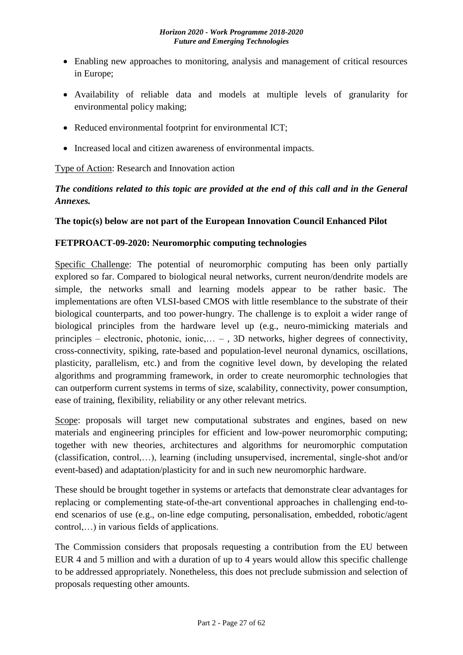- Enabling new approaches to monitoring, analysis and management of critical resources in Europe;
- Availability of reliable data and models at multiple levels of granularity for environmental policy making;
- Reduced environmental footprint for environmental ICT;
- Increased local and citizen awareness of environmental impacts.

Type of Action: Research and Innovation action

## *The conditions related to this topic are provided at the end of this call and in the General Annexes.*

## <span id="page-26-0"></span>**The topic(s) below are not part of the European Innovation Council Enhanced Pilot**

## <span id="page-26-1"></span>**FETPROACT-09-2020: Neuromorphic computing technologies**

Specific Challenge: The potential of neuromorphic computing has been only partially explored so far. Compared to biological neural networks, current neuron/dendrite models are simple, the networks small and learning models appear to be rather basic. The implementations are often VLSI-based CMOS with little resemblance to the substrate of their biological counterparts, and too power-hungry. The challenge is to exploit a wider range of biological principles from the hardware level up (e.g., neuro-mimicking materials and principles – electronic, photonic, ionic,… – , 3D networks, higher degrees of connectivity, cross-connectivity, spiking, rate-based and population-level neuronal dynamics, oscillations, plasticity, parallelism, etc.) and from the cognitive level down, by developing the related algorithms and programming framework, in order to create neuromorphic technologies that can outperform current systems in terms of size, scalability, connectivity, power consumption, ease of training, flexibility, reliability or any other relevant metrics.

Scope: proposals will target new computational substrates and engines, based on new materials and engineering principles for efficient and low-power neuromorphic computing; together with new theories, architectures and algorithms for neuromorphic computation (classification, control,…), learning (including unsupervised, incremental, single-shot and/or event-based) and adaptation/plasticity for and in such new neuromorphic hardware.

These should be brought together in systems or artefacts that demonstrate clear advantages for replacing or complementing state-of-the-art conventional approaches in challenging end-toend scenarios of use (e.g., on-line edge computing, personalisation, embedded, robotic/agent control,…) in various fields of applications.

The Commission considers that proposals requesting a contribution from the EU between EUR 4 and 5 million and with a duration of up to 4 years would allow this specific challenge to be addressed appropriately. Nonetheless, this does not preclude submission and selection of proposals requesting other amounts.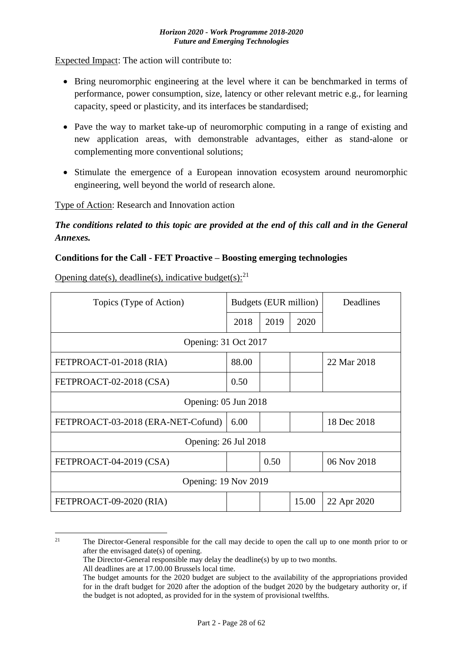Expected Impact: The action will contribute to:

- Bring neuromorphic engineering at the level where it can be benchmarked in terms of performance, power consumption, size, latency or other relevant metric e.g., for learning capacity, speed or plasticity, and its interfaces be standardised;
- Pave the way to market take-up of neuromorphic computing in a range of existing and new application areas, with demonstrable advantages, either as stand-alone or complementing more conventional solutions;
- Stimulate the emergence of a European innovation ecosystem around neuromorphic engineering, well beyond the world of research alone.

Type of Action: Research and Innovation action

*The conditions related to this topic are provided at the end of this call and in the General Annexes.*

## <span id="page-27-0"></span>**Conditions for the Call - FET Proactive – Boosting emerging technologies**

Opening date(s), deadline(s), indicative budget(s): $^{21}$ 

| Topics (Type of Action)            |       | Budgets (EUR million) |       | Deadlines   |  |
|------------------------------------|-------|-----------------------|-------|-------------|--|
|                                    | 2018  | 2019                  | 2020  |             |  |
| Opening: 31 Oct 2017               |       |                       |       |             |  |
| FETPROACT-01-2018 (RIA)            | 88.00 |                       |       | 22 Mar 2018 |  |
| FETPROACT-02-2018 (CSA)            | 0.50  |                       |       |             |  |
| Opening: 05 Jun 2018               |       |                       |       |             |  |
| FETPROACT-03-2018 (ERA-NET-Cofund) | 6.00  |                       |       | 18 Dec 2018 |  |
| Opening: 26 Jul 2018               |       |                       |       |             |  |
| FETPROACT-04-2019 (CSA)            |       | 0.50                  |       | 06 Nov 2018 |  |
| Opening: 19 Nov 2019               |       |                       |       |             |  |
| FETPROACT-09-2020 (RIA)            |       |                       | 15.00 | 22 Apr 2020 |  |

 $21\,$ <sup>21</sup> The Director-General responsible for the call may decide to open the call up to one month prior to or after the envisaged date(s) of opening.

The Director-General responsible may delay the deadline(s) by up to two months.

All deadlines are at 17.00.00 Brussels local time.

The budget amounts for the 2020 budget are subject to the availability of the appropriations provided for in the draft budget for 2020 after the adoption of the budget 2020 by the budgetary authority or, if the budget is not adopted, as provided for in the system of provisional twelfths.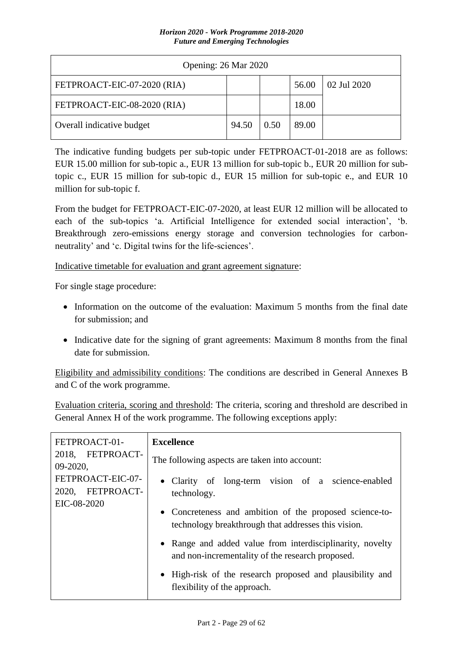| Opening: 26 Mar 2020        |       |      |       |             |  |
|-----------------------------|-------|------|-------|-------------|--|
| FETPROACT-EIC-07-2020 (RIA) |       |      | 56.00 | 02 Jul 2020 |  |
| FETPROACT-EIC-08-2020 (RIA) |       |      | 18.00 |             |  |
| Overall indicative budget   | 94.50 | 0.50 | 89.00 |             |  |

The indicative funding budgets per sub-topic under FETPROACT-01-2018 are as follows: EUR 15.00 million for sub-topic a., EUR 13 million for sub-topic b., EUR 20 million for subtopic c., EUR 15 million for sub-topic d., EUR 15 million for sub-topic e., and EUR 10 million for sub-topic f.

From the budget for FETPROACT-EIC-07-2020, at least EUR 12 million will be allocated to each of the sub-topics 'a. Artificial Intelligence for extended social interaction', 'b. Breakthrough zero-emissions energy storage and conversion technologies for carbonneutrality' and 'c. Digital twins for the life-sciences'.

Indicative timetable for evaluation and grant agreement signature:

For single stage procedure:

- Information on the outcome of the evaluation: Maximum 5 months from the final date for submission; and
- Indicative date for the signing of grant agreements: Maximum 8 months from the final date for submission.

Eligibility and admissibility conditions: The conditions are described in General Annexes B and C of the work programme.

Evaluation criteria, scoring and threshold: The criteria, scoring and threshold are described in General Annex H of the work programme. The following exceptions apply:

| FETPROACT-01-                                        | <b>Excellence</b>                                                                                              |
|------------------------------------------------------|----------------------------------------------------------------------------------------------------------------|
| 2018, FETPROACT-<br>$09-2020$ ,                      | The following aspects are taken into account:                                                                  |
| FETPROACT-EIC-07-<br>2020, FETPROACT-<br>EIC-08-2020 | • Clarity of long-term vision of a science-enabled<br>technology.                                              |
|                                                      | • Concreteness and ambition of the proposed science-to-<br>technology breakthrough that addresses this vision. |
|                                                      | • Range and added value from interdisciplinarity, novelty<br>and non-incrementality of the research proposed.  |
|                                                      | • High-risk of the research proposed and plausibility and<br>flexibility of the approach.                      |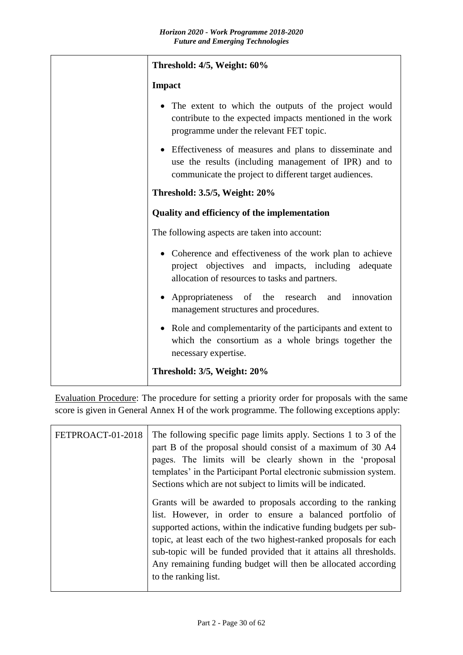| Threshold: 4/5, Weight: 60%                                                                                                                                              |
|--------------------------------------------------------------------------------------------------------------------------------------------------------------------------|
| <b>Impact</b>                                                                                                                                                            |
| The extent to which the outputs of the project would<br>contribute to the expected impacts mentioned in the work<br>programme under the relevant FET topic.              |
| Effectiveness of measures and plans to disseminate and<br>use the results (including management of IPR) and to<br>communicate the project to different target audiences. |
| <b>Threshold: 3.5/5, Weight: 20%</b>                                                                                                                                     |
| Quality and efficiency of the implementation                                                                                                                             |
| The following aspects are taken into account:                                                                                                                            |
| Coherence and effectiveness of the work plan to achieve<br>project objectives and impacts, including adequate<br>allocation of resources to tasks and partners.          |
| Appropriateness of the research<br>innovation<br>and<br>management structures and procedures.                                                                            |
| Role and complementarity of the participants and extent to<br>which the consortium as a whole brings together the<br>necessary expertise.                                |
| Threshold: 3/5, Weight: 20%                                                                                                                                              |

Evaluation Procedure: The procedure for setting a priority order for proposals with the same score is given in General Annex H of the work programme. The following exceptions apply:

| FETPROACT-01-2018 | The following specific page limits apply. Sections 1 to 3 of the<br>part B of the proposal should consist of a maximum of 30 A4<br>pages. The limits will be clearly shown in the 'proposal<br>templates' in the Participant Portal electronic submission system.<br>Sections which are not subject to limits will be indicated.<br>Grants will be awarded to proposals according to the ranking<br>list. However, in order to ensure a balanced portfolio of<br>supported actions, within the indicative funding budgets per sub-<br>topic, at least each of the two highest-ranked proposals for each<br>sub-topic will be funded provided that it attains all thresholds.<br>Any remaining funding budget will then be allocated according |
|-------------------|-----------------------------------------------------------------------------------------------------------------------------------------------------------------------------------------------------------------------------------------------------------------------------------------------------------------------------------------------------------------------------------------------------------------------------------------------------------------------------------------------------------------------------------------------------------------------------------------------------------------------------------------------------------------------------------------------------------------------------------------------|
|                   | to the ranking list.                                                                                                                                                                                                                                                                                                                                                                                                                                                                                                                                                                                                                                                                                                                          |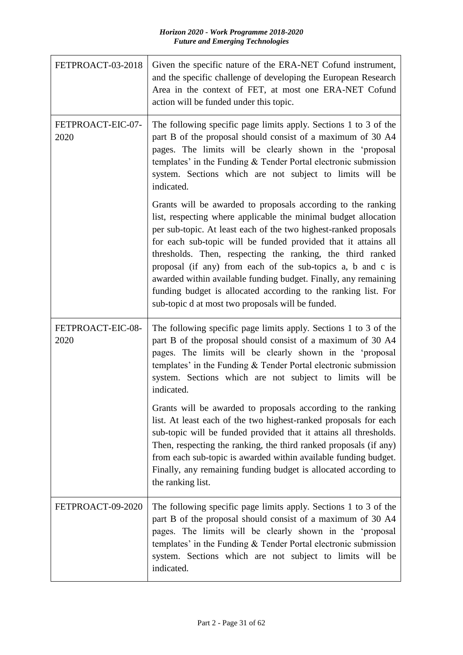| FETPROACT-03-2018         | Given the specific nature of the ERA-NET Cofund instrument,<br>and the specific challenge of developing the European Research<br>Area in the context of FET, at most one ERA-NET Cofund<br>action will be funded under this topic.                                                                                                                                                                                                                                                                                                                                                           |
|---------------------------|----------------------------------------------------------------------------------------------------------------------------------------------------------------------------------------------------------------------------------------------------------------------------------------------------------------------------------------------------------------------------------------------------------------------------------------------------------------------------------------------------------------------------------------------------------------------------------------------|
| FETPROACT-EIC-07-<br>2020 | The following specific page limits apply. Sections 1 to 3 of the<br>part B of the proposal should consist of a maximum of 30 A4<br>pages. The limits will be clearly shown in the 'proposal<br>templates' in the Funding $&$ Tender Portal electronic submission<br>system. Sections which are not subject to limits will be<br>indicated.                                                                                                                                                                                                                                                   |
|                           | Grants will be awarded to proposals according to the ranking<br>list, respecting where applicable the minimal budget allocation<br>per sub-topic. At least each of the two highest-ranked proposals<br>for each sub-topic will be funded provided that it attains all<br>thresholds. Then, respecting the ranking, the third ranked<br>proposal (if any) from each of the sub-topics a, b and c is<br>awarded within available funding budget. Finally, any remaining<br>funding budget is allocated according to the ranking list. For<br>sub-topic d at most two proposals will be funded. |
| FETPROACT-EIC-08-<br>2020 | The following specific page limits apply. Sections 1 to 3 of the<br>part B of the proposal should consist of a maximum of 30 A4<br>pages. The limits will be clearly shown in the 'proposal<br>templates' in the Funding & Tender Portal electronic submission<br>system. Sections which are not subject to limits will be<br>indicated.                                                                                                                                                                                                                                                     |
|                           | Grants will be awarded to proposals according to the ranking<br>list. At least each of the two highest-ranked proposals for each<br>sub-topic will be funded provided that it attains all thresholds.<br>Then, respecting the ranking, the third ranked proposals (if any)<br>from each sub-topic is awarded within available funding budget.<br>Finally, any remaining funding budget is allocated according to<br>the ranking list.                                                                                                                                                        |
| FETPROACT-09-2020         | The following specific page limits apply. Sections 1 to 3 of the<br>part B of the proposal should consist of a maximum of 30 A4<br>pages. The limits will be clearly shown in the 'proposal<br>templates' in the Funding & Tender Portal electronic submission<br>system. Sections which are not subject to limits will be<br>indicated.                                                                                                                                                                                                                                                     |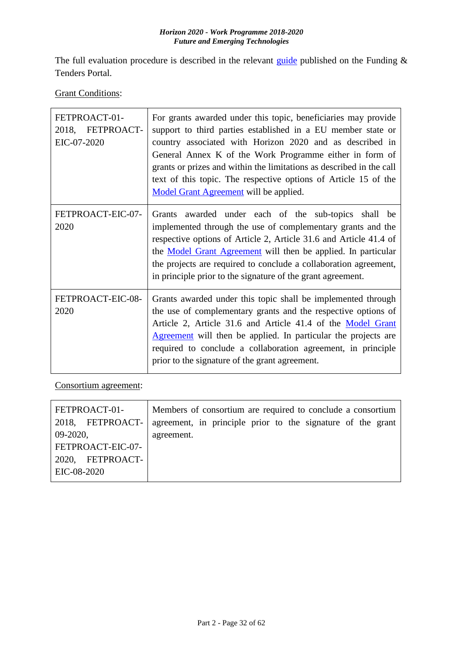The full evaluation procedure is described in the relevant [guide](http://ec.europa.eu/research/participants/docs/h2020-funding-guide/grants/applying-for-funding/submit-proposals_en.htm) published on the Funding  $\&$ Tenders Portal.

**Grant Conditions:** 

| FETPROACT-01-<br>2018, FETPROACT-<br>EIC-07-2020 | For grants awarded under this topic, beneficiaries may provide<br>support to third parties established in a EU member state or<br>country associated with Horizon 2020 and as described in<br>General Annex K of the Work Programme either in form of<br>grants or prizes and within the limitations as described in the call<br>text of this topic. The respective options of Article 15 of the<br>Model Grant Agreement will be applied. |
|--------------------------------------------------|--------------------------------------------------------------------------------------------------------------------------------------------------------------------------------------------------------------------------------------------------------------------------------------------------------------------------------------------------------------------------------------------------------------------------------------------|
| FETPROACT-EIC-07-<br>2020                        | Grants awarded under each of the sub-topics shall be<br>implemented through the use of complementary grants and the<br>respective options of Article 2, Article 31.6 and Article 41.4 of<br>the Model Grant Agreement will then be applied. In particular<br>the projects are required to conclude a collaboration agreement,<br>in principle prior to the signature of the grant agreement.                                               |
| FETPROACT-EIC-08-<br>2020                        | Grants awarded under this topic shall be implemented through<br>the use of complementary grants and the respective options of<br>Article 2, Article 31.6 and Article 41.4 of the Model Grant<br>Agreement will then be applied. In particular the projects are<br>required to conclude a collaboration agreement, in principle<br>prior to the signature of the grant agreement.                                                           |

Consortium agreement:

| FETPROACT-01-     | Members of consortium are required to conclude a consortium |
|-------------------|-------------------------------------------------------------|
| 2018, FETPROACT-  | agreement, in principle prior to the signature of the grant |
| $09-2020,$        | agreement.                                                  |
| FETPROACT-EIC-07- |                                                             |
| 2020, FETPROACT-  |                                                             |
| EIC-08-2020       |                                                             |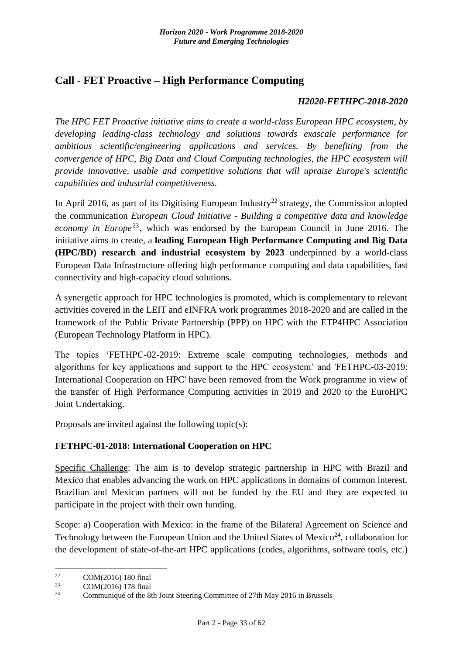## <span id="page-32-0"></span>**Call - FET Proactive – High Performance Computing**

### *H2020-FETHPC-2018-2020*

*The HPC FET Proactive initiative aims to create a world-class European HPC ecosystem, by developing leading-class technology and solutions towards exascale performance for ambitious scientific/engineering applications and services. By benefiting from the convergence of HPC, Big Data and Cloud Computing technologies, the HPC ecosystem will provide innovative, usable and competitive solutions that will upraise Europe's scientific capabilities and industrial competitiveness.*

In April 2016, as part of its Digitising European Industry<sup>22</sup> strategy, the Commission adopted the communication *European Cloud Initiative - Building a competitive data and knowledge economy in Europe*<sup>23</sup>, which was endorsed by the European Council in June 2016. The initiative aims to create, a **leading European High Performance Computing and Big Data (HPC/BD) research and industrial ecosystem by 2023** underpinned by a world-class European Data Infrastructure offering high performance computing and data capabilities, fast connectivity and high-capacity cloud solutions.

A synergetic approach for HPC technologies is promoted, which is complementary to relevant activities covered in the LEIT and eINFRA work programmes 2018-2020 and are called in the framework of the Public Private Partnership (PPP) on HPC with the ETP4HPC Association (European Technology Platform in HPC).

The topics 'FETHPC-02-2019: Extreme scale computing technologies, methods and algorithms for key applications and support to the HPC ecosystem' and 'FETHPC-03-2019: International Cooperation on HPC' have been removed from the Work programme in view of the transfer of High Performance Computing activities in 2019 and 2020 to the EuroHPC Joint Undertaking.

Proposals are invited against the following topic(s):

## <span id="page-32-1"></span>**FETHPC-01-2018: International Cooperation on HPC**

Specific Challenge: The aim is to develop strategic partnership in HPC with Brazil and Mexico that enables advancing the work on HPC applications in domains of common interest. Brazilian and Mexican partners will not be funded by the EU and they are expected to participate in the project with their own funding.

Scope: a) Cooperation with Mexico: in the frame of the Bilateral Agreement on Science and Technology between the European Union and the United States of Mexico<sup>24</sup>, collaboration for the development of state-of-the-art HPC applications (codes, algorithms, software tools, etc.)

<sup>22</sup> <sup>22</sup> COM(2016) 180 final<br><sup>23</sup> COM(2016) 178 final

<sup>&</sup>lt;sup>23</sup> COM(2016) 178 final<br><sup>24</sup> Communicate of the <sup>24</sup>

Communiqué of the 8th Joint Steering Committee of 27th May 2016 in Brussels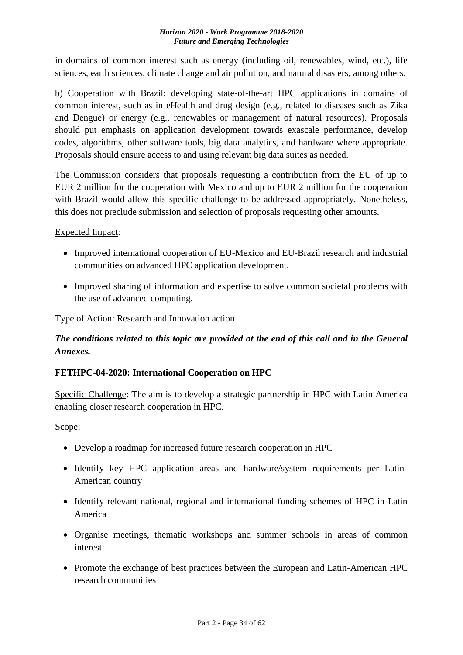in domains of common interest such as energy (including oil, renewables, wind, etc.), life sciences, earth sciences, climate change and air pollution, and natural disasters, among others.

b) Cooperation with Brazil: developing state-of-the-art HPC applications in domains of common interest, such as in eHealth and drug design (e.g., related to diseases such as Zika and Dengue) or energy (e.g., renewables or management of natural resources). Proposals should put emphasis on application development towards exascale performance, develop codes, algorithms, other software tools, big data analytics, and hardware where appropriate. Proposals should ensure access to and using relevant big data suites as needed.

The Commission considers that proposals requesting a contribution from the EU of up to EUR 2 million for the cooperation with Mexico and up to EUR 2 million for the cooperation with Brazil would allow this specific challenge to be addressed appropriately. Nonetheless, this does not preclude submission and selection of proposals requesting other amounts.

## Expected Impact:

- Improved international cooperation of EU-Mexico and EU-Brazil research and industrial communities on advanced HPC application development.
- Improved sharing of information and expertise to solve common societal problems with the use of advanced computing.

Type of Action: Research and Innovation action

## *The conditions related to this topic are provided at the end of this call and in the General Annexes.*

## <span id="page-33-0"></span>**FETHPC-04-2020: International Cooperation on HPC**

Specific Challenge: The aim is to develop a strategic partnership in HPC with Latin America enabling closer research cooperation in HPC.

## Scope:

- Develop a roadmap for increased future research cooperation in HPC
- Identify key HPC application areas and hardware/system requirements per Latin-American country
- Identify relevant national, regional and international funding schemes of HPC in Latin America
- Organise meetings, thematic workshops and summer schools in areas of common interest
- Promote the exchange of best practices between the European and Latin-American HPC research communities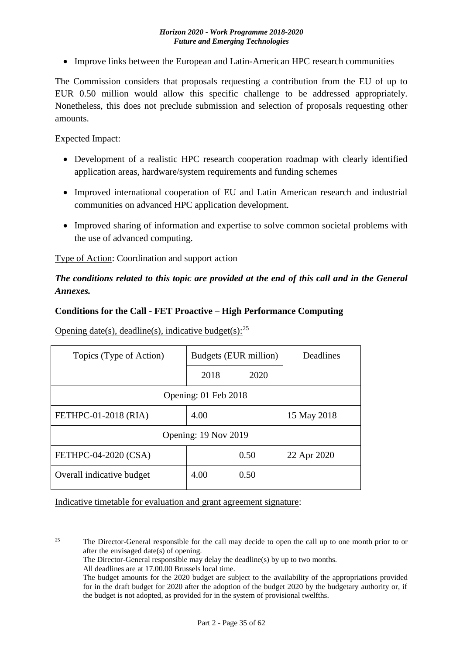• Improve links between the European and Latin-American HPC research communities

The Commission considers that proposals requesting a contribution from the EU of up to EUR 0.50 million would allow this specific challenge to be addressed appropriately. Nonetheless, this does not preclude submission and selection of proposals requesting other amounts.

### Expected Impact:

- Development of a realistic HPC research cooperation roadmap with clearly identified application areas, hardware/system requirements and funding schemes
- Improved international cooperation of EU and Latin American research and industrial communities on advanced HPC application development.
- Improved sharing of information and expertise to solve common societal problems with the use of advanced computing.

Type of Action: Coordination and support action

## *The conditions related to this topic are provided at the end of this call and in the General Annexes.*

### <span id="page-34-0"></span>**Conditions for the Call - FET Proactive – High Performance Computing**

Opening date(s), deadline(s), indicative budget(s): $^{25}$ 

| Topics (Type of Action)   | Budgets (EUR million) |      | Deadlines   |  |  |
|---------------------------|-----------------------|------|-------------|--|--|
|                           | 2018                  | 2020 |             |  |  |
| Opening: 01 Feb 2018      |                       |      |             |  |  |
| FETHPC-01-2018 (RIA)      | 4.00                  |      | 15 May 2018 |  |  |
| Opening: 19 Nov 2019      |                       |      |             |  |  |
| FETHPC-04-2020 (CSA)      |                       | 0.50 | 22 Apr 2020 |  |  |
| Overall indicative budget | 4.00                  | 0.50 |             |  |  |

Indicative timetable for evaluation and grant agreement signature:

 $25$ <sup>25</sup> The Director-General responsible for the call may decide to open the call up to one month prior to or after the envisaged date(s) of opening.

The Director-General responsible may delay the deadline(s) by up to two months.

All deadlines are at 17.00.00 Brussels local time.

The budget amounts for the 2020 budget are subject to the availability of the appropriations provided for in the draft budget for 2020 after the adoption of the budget 2020 by the budgetary authority or, if the budget is not adopted, as provided for in the system of provisional twelfths.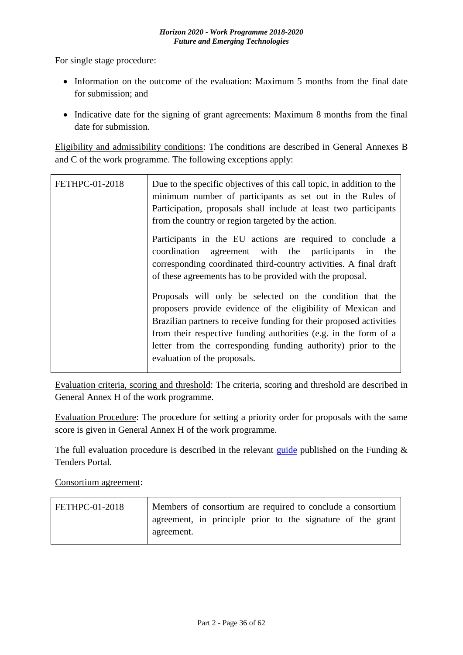For single stage procedure:

- Information on the outcome of the evaluation: Maximum 5 months from the final date for submission; and
- Indicative date for the signing of grant agreements: Maximum 8 months from the final date for submission.

Eligibility and admissibility conditions: The conditions are described in General Annexes B and C of the work programme. The following exceptions apply:

| <b>FETHPC-01-2018</b> | Due to the specific objectives of this call topic, in addition to the<br>minimum number of participants as set out in the Rules of<br>Participation, proposals shall include at least two participants<br>from the country or region targeted by the action.                                                                                                          |
|-----------------------|-----------------------------------------------------------------------------------------------------------------------------------------------------------------------------------------------------------------------------------------------------------------------------------------------------------------------------------------------------------------------|
|                       | Participants in the EU actions are required to conclude a<br>agreement with the participants in<br>coordination<br>the<br>corresponding coordinated third-country activities. A final draft<br>of these agreements has to be provided with the proposal.                                                                                                              |
|                       | Proposals will only be selected on the condition that the<br>proposers provide evidence of the eligibility of Mexican and<br>Brazilian partners to receive funding for their proposed activities<br>from their respective funding authorities (e.g. in the form of a<br>letter from the corresponding funding authority) prior to the<br>evaluation of the proposals. |

Evaluation criteria, scoring and threshold: The criteria, scoring and threshold are described in General Annex H of the work programme.

Evaluation Procedure: The procedure for setting a priority order for proposals with the same score is given in General Annex H of the work programme.

The full evaluation procedure is described in the relevant [guide](http://ec.europa.eu/research/participants/docs/h2020-funding-guide/grants/applying-for-funding/submit-proposals_en.htm) published on the Funding  $\&$ Tenders Portal.

Consortium agreement:

| <b>FETHPC-01-2018</b> | Members of consortium are required to conclude a consortium |
|-----------------------|-------------------------------------------------------------|
|                       | agreement, in principle prior to the signature of the grant |
|                       | agreement.                                                  |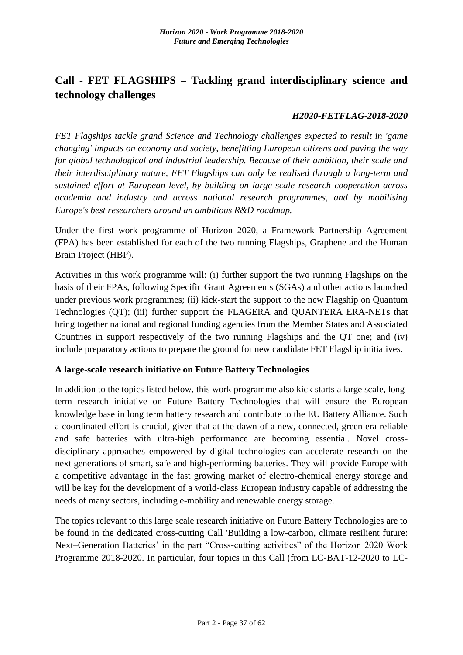# <span id="page-36-0"></span>**Call - FET FLAGSHIPS – Tackling grand interdisciplinary science and technology challenges**

### *H2020-FETFLAG-2018-2020*

*FET Flagships tackle grand Science and Technology challenges expected to result in 'game changing' impacts on economy and society, benefitting European citizens and paving the way for global technological and industrial leadership. Because of their ambition, their scale and their interdisciplinary nature, FET Flagships can only be realised through a long-term and sustained effort at European level, by building on large scale research cooperation across academia and industry and across national research programmes, and by mobilising Europe's best researchers around an ambitious R&D roadmap.*

Under the first work programme of Horizon 2020, a Framework Partnership Agreement (FPA) has been established for each of the two running Flagships, Graphene and the Human Brain Project (HBP).

Activities in this work programme will: (i) further support the two running Flagships on the basis of their FPAs, following Specific Grant Agreements (SGAs) and other actions launched under previous work programmes; (ii) kick-start the support to the new Flagship on Quantum Technologies (QT); (iii) further support the FLAGERA and QUANTERA ERA-NETs that bring together national and regional funding agencies from the Member States and Associated Countries in support respectively of the two running Flagships and the QT one; and (iv) include preparatory actions to prepare the ground for new candidate FET Flagship initiatives.

## **A large-scale research initiative on Future Battery Technologies**

In addition to the topics listed below, this work programme also kick starts a large scale, longterm research initiative on Future Battery Technologies that will ensure the European knowledge base in long term battery research and contribute to the EU Battery Alliance. Such a coordinated effort is crucial, given that at the dawn of a new, connected, green era reliable and safe batteries with ultra-high performance are becoming essential. Novel crossdisciplinary approaches empowered by digital technologies can accelerate research on the next generations of smart, safe and high-performing batteries. They will provide Europe with a competitive advantage in the fast growing market of electro-chemical energy storage and will be key for the development of a world-class European industry capable of addressing the needs of many sectors, including e-mobility and renewable energy storage.

The topics relevant to this large scale research initiative on Future Battery Technologies are to be found in the dedicated cross-cutting Call 'Building a low-carbon, climate resilient future: Next–Generation Batteries' in the part "Cross-cutting activities" of the Horizon 2020 Work Programme 2018-2020. In particular, four topics in this Call (from LC-BAT-12-2020 to LC-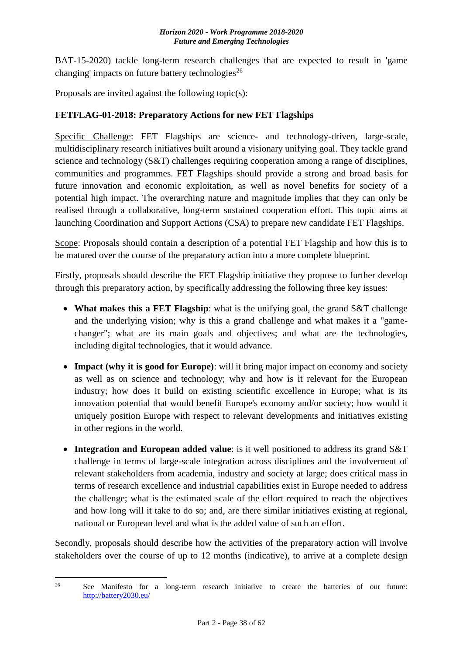BAT-15-2020) tackle long-term research challenges that are expected to result in 'game changing' impacts on future battery technologies<sup>26</sup>

Proposals are invited against the following topic(s):

## <span id="page-37-0"></span>**FETFLAG-01-2018: Preparatory Actions for new FET Flagships**

Specific Challenge: FET Flagships are science- and technology-driven, large-scale, multidisciplinary research initiatives built around a visionary unifying goal. They tackle grand science and technology (S&T) challenges requiring cooperation among a range of disciplines, communities and programmes. FET Flagships should provide a strong and broad basis for future innovation and economic exploitation, as well as novel benefits for society of a potential high impact. The overarching nature and magnitude implies that they can only be realised through a collaborative, long-term sustained cooperation effort. This topic aims at launching Coordination and Support Actions (CSA) to prepare new candidate FET Flagships.

Scope: Proposals should contain a description of a potential FET Flagship and how this is to be matured over the course of the preparatory action into a more complete blueprint.

Firstly, proposals should describe the FET Flagship initiative they propose to further develop through this preparatory action, by specifically addressing the following three key issues:

- **What makes this a FET Flagship**: what is the unifying goal, the grand S&T challenge and the underlying vision; why is this a grand challenge and what makes it a "gamechanger"; what are its main goals and objectives; and what are the technologies, including digital technologies, that it would advance.
- **Impact (why it is good for Europe)**: will it bring major impact on economy and society as well as on science and technology; why and how is it relevant for the European industry; how does it build on existing scientific excellence in Europe; what is its innovation potential that would benefit Europe's economy and/or society; how would it uniquely position Europe with respect to relevant developments and initiatives existing in other regions in the world.
- **Integration and European added value**: is it well positioned to address its grand S&T challenge in terms of large-scale integration across disciplines and the involvement of relevant stakeholders from academia, industry and society at large; does critical mass in terms of research excellence and industrial capabilities exist in Europe needed to address the challenge; what is the estimated scale of the effort required to reach the objectives and how long will it take to do so; and, are there similar initiatives existing at regional, national or European level and what is the added value of such an effort.

Secondly, proposals should describe how the activities of the preparatory action will involve stakeholders over the course of up to 12 months (indicative), to arrive at a complete design

 $26$ <sup>26</sup> See Manifesto for a long-term research initiative to create the batteries of our future: <http://battery2030.eu/>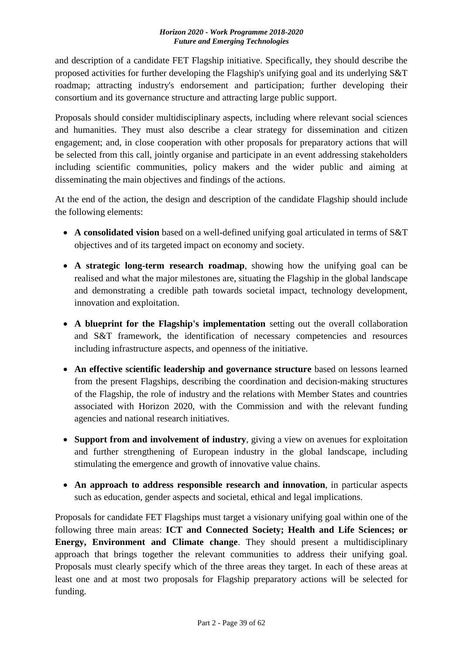and description of a candidate FET Flagship initiative. Specifically, they should describe the proposed activities for further developing the Flagship's unifying goal and its underlying S&T roadmap; attracting industry's endorsement and participation; further developing their consortium and its governance structure and attracting large public support.

Proposals should consider multidisciplinary aspects, including where relevant social sciences and humanities. They must also describe a clear strategy for dissemination and citizen engagement; and, in close cooperation with other proposals for preparatory actions that will be selected from this call, jointly organise and participate in an event addressing stakeholders including scientific communities, policy makers and the wider public and aiming at disseminating the main objectives and findings of the actions.

At the end of the action, the design and description of the candidate Flagship should include the following elements:

- **A consolidated vision** based on a well-defined unifying goal articulated in terms of S&T objectives and of its targeted impact on economy and society.
- **A strategic long-term research roadmap**, showing how the unifying goal can be realised and what the major milestones are, situating the Flagship in the global landscape and demonstrating a credible path towards societal impact, technology development, innovation and exploitation.
- **A blueprint for the Flagship's implementation** setting out the overall collaboration and S&T framework, the identification of necessary competencies and resources including infrastructure aspects, and openness of the initiative.
- **An effective scientific leadership and governance structure** based on lessons learned from the present Flagships, describing the coordination and decision-making structures of the Flagship, the role of industry and the relations with Member States and countries associated with Horizon 2020, with the Commission and with the relevant funding agencies and national research initiatives.
- **Support from and involvement of industry**, giving a view on avenues for exploitation and further strengthening of European industry in the global landscape, including stimulating the emergence and growth of innovative value chains.
- **An approach to address responsible research and innovation**, in particular aspects such as education, gender aspects and societal, ethical and legal implications.

Proposals for candidate FET Flagships must target a visionary unifying goal within one of the following three main areas: **ICT and Connected Society; Health and Life Sciences; or Energy, Environment and Climate change**. They should present a multidisciplinary approach that brings together the relevant communities to address their unifying goal. Proposals must clearly specify which of the three areas they target. In each of these areas at least one and at most two proposals for Flagship preparatory actions will be selected for funding.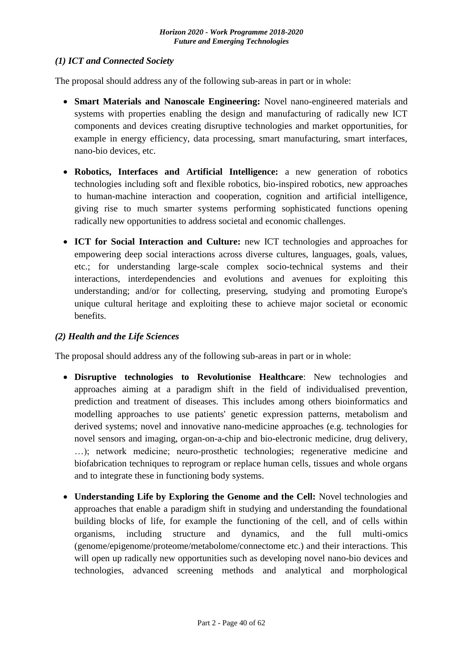## *(1) ICT and Connected Society*

The proposal should address any of the following sub-areas in part or in whole:

- **Smart Materials and Nanoscale Engineering:** Novel nano-engineered materials and systems with properties enabling the design and manufacturing of radically new ICT components and devices creating disruptive technologies and market opportunities, for example in energy efficiency, data processing, smart manufacturing, smart interfaces, nano-bio devices, etc.
- **Robotics, Interfaces and Artificial Intelligence:** a new generation of robotics technologies including soft and flexible robotics, bio-inspired robotics, new approaches to human-machine interaction and cooperation, cognition and artificial intelligence, giving rise to much smarter systems performing sophisticated functions opening radically new opportunities to address societal and economic challenges.
- **ICT for Social Interaction and Culture:** new ICT technologies and approaches for empowering deep social interactions across diverse cultures, languages, goals, values, etc.; for understanding large-scale complex socio-technical systems and their interactions, interdependencies and evolutions and avenues for exploiting this understanding; and/or for collecting, preserving, studying and promoting Europe's unique cultural heritage and exploiting these to achieve major societal or economic benefits.

## *(2) Health and the Life Sciences*

The proposal should address any of the following sub-areas in part or in whole:

- **Disruptive technologies to Revolutionise Healthcare**: New technologies and approaches aiming at a paradigm shift in the field of individualised prevention, prediction and treatment of diseases. This includes among others bioinformatics and modelling approaches to use patients' genetic expression patterns, metabolism and derived systems; novel and innovative nano-medicine approaches (e.g. technologies for novel sensors and imaging, organ-on-a-chip and bio-electronic medicine, drug delivery, …); network medicine; neuro-prosthetic technologies; regenerative medicine and biofabrication techniques to reprogram or replace human cells, tissues and whole organs and to integrate these in functioning body systems.
- **Understanding Life by Exploring the Genome and the Cell:** Novel technologies and approaches that enable a paradigm shift in studying and understanding the foundational building blocks of life, for example the functioning of the cell, and of cells within organisms, including structure and dynamics, and the full multi-omics (genome/epigenome/proteome/metabolome/connectome etc.) and their interactions. This will open up radically new opportunities such as developing novel nano-bio devices and technologies, advanced screening methods and analytical and morphological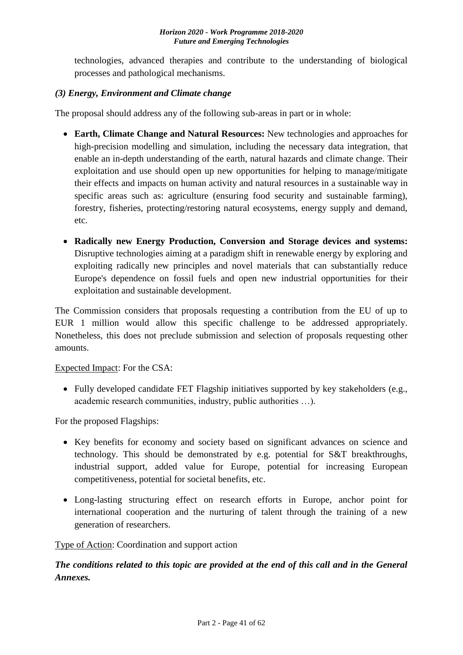technologies, advanced therapies and contribute to the understanding of biological processes and pathological mechanisms.

## *(3) Energy, Environment and Climate change*

The proposal should address any of the following sub-areas in part or in whole:

- **Earth, Climate Change and Natural Resources:** New technologies and approaches for high-precision modelling and simulation, including the necessary data integration, that enable an in-depth understanding of the earth, natural hazards and climate change. Their exploitation and use should open up new opportunities for helping to manage/mitigate their effects and impacts on human activity and natural resources in a sustainable way in specific areas such as: agriculture (ensuring food security and sustainable farming), forestry, fisheries, protecting/restoring natural ecosystems, energy supply and demand, etc.
- **Radically new Energy Production, Conversion and Storage devices and systems:**  Disruptive technologies aiming at a paradigm shift in renewable energy by exploring and exploiting radically new principles and novel materials that can substantially reduce Europe's dependence on fossil fuels and open new industrial opportunities for their exploitation and sustainable development.

The Commission considers that proposals requesting a contribution from the EU of up to EUR 1 million would allow this specific challenge to be addressed appropriately. Nonetheless, this does not preclude submission and selection of proposals requesting other amounts.

Expected Impact: For the CSA:

• Fully developed candidate FET Flagship initiatives supported by key stakeholders (e.g., academic research communities, industry, public authorities …).

For the proposed Flagships:

- Key benefits for economy and society based on significant advances on science and technology. This should be demonstrated by e.g. potential for S&T breakthroughs, industrial support, added value for Europe, potential for increasing European competitiveness, potential for societal benefits, etc.
- Long-lasting structuring effect on research efforts in Europe, anchor point for international cooperation and the nurturing of talent through the training of a new generation of researchers.

Type of Action: Coordination and support action

*The conditions related to this topic are provided at the end of this call and in the General Annexes.*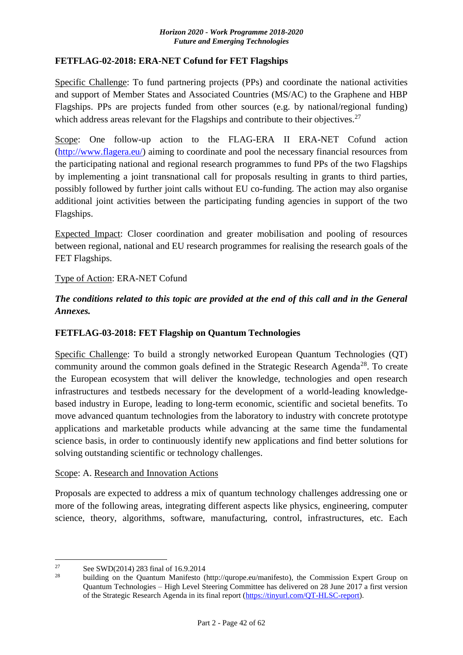## <span id="page-41-0"></span>**FETFLAG-02-2018: ERA-NET Cofund for FET Flagships**

Specific Challenge: To fund partnering projects (PPs) and coordinate the national activities and support of Member States and Associated Countries (MS/AC) to the Graphene and HBP Flagships. PPs are projects funded from other sources (e.g. by national/regional funding) which address areas relevant for the Flagships and contribute to their objectives.<sup>27</sup>

Scope: One follow-up action to the FLAG-ERA II ERA-NET Cofund action [\(http://www.flagera.eu/\)](http://www.flagera.eu/) aiming to coordinate and pool the necessary financial resources from the participating national and regional research programmes to fund PPs of the two Flagships by implementing a joint transnational call for proposals resulting in grants to third parties, possibly followed by further joint calls without EU co-funding. The action may also organise additional joint activities between the participating funding agencies in support of the two Flagships.

Expected Impact: Closer coordination and greater mobilisation and pooling of resources between regional, national and EU research programmes for realising the research goals of the FET Flagships.

## Type of Action: ERA-NET Cofund

*The conditions related to this topic are provided at the end of this call and in the General Annexes.*

## <span id="page-41-1"></span>**FETFLAG-03-2018: FET Flagship on Quantum Technologies**

Specific Challenge: To build a strongly networked European Quantum Technologies (QT) community around the common goals defined in the Strategic Research Agenda<sup>28</sup>. To create the European ecosystem that will deliver the knowledge, technologies and open research infrastructures and testbeds necessary for the development of a world-leading knowledgebased industry in Europe, leading to long-term economic, scientific and societal benefits. To move advanced quantum technologies from the laboratory to industry with concrete prototype applications and marketable products while advancing at the same time the fundamental science basis, in order to continuously identify new applications and find better solutions for solving outstanding scientific or technology challenges.

### Scope: A. Research and Innovation Actions

Proposals are expected to address a mix of quantum technology challenges addressing one or more of the following areas, integrating different aspects like physics, engineering, computer science, theory, algorithms, software, manufacturing, control, infrastructures, etc. Each

<u>.</u>

<sup>&</sup>lt;sup>27</sup> See SWD(2014) 283 final of 16.9.2014

building on the Quantum Manifesto (http://qurope.eu/manifesto), the Commission Expert Group on Quantum Technologies – High Level Steering Committee has delivered on 28 June 2017 a first version of the Strategic Research Agenda in its final report [\(https://tinyurl.com/QT-HLSC-report\)](https://tinyurl.com/QT-HLSC-report).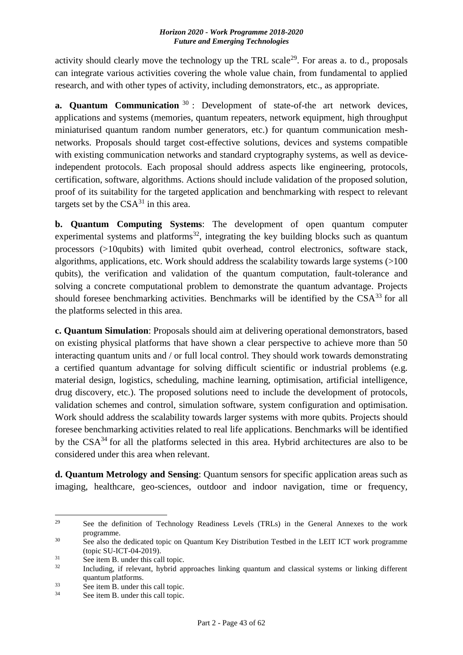activity should clearly move the technology up the TRL scale<sup>29</sup>. For areas a. to d., proposals can integrate various activities covering the whole value chain, from fundamental to applied research, and with other types of activity, including demonstrators, etc., as appropriate.

**a. Quantum Communication** <sup>30</sup>: Development of state-of-the art network devices, applications and systems (memories, quantum repeaters, network equipment, high throughput miniaturised quantum random number generators, etc.) for quantum communication meshnetworks. Proposals should target cost-effective solutions, devices and systems compatible with existing communication networks and standard cryptography systems, as well as deviceindependent protocols. Each proposal should address aspects like engineering, protocols, certification, software, algorithms. Actions should include validation of the proposed solution, proof of its suitability for the targeted application and benchmarking with respect to relevant targets set by the  $CSA^{31}$  in this area.

**b. Quantum Computing Systems**: The development of open quantum computer experimental systems and platforms<sup>32</sup>, integrating the key building blocks such as quantum processors (>10qubits) with limited qubit overhead, control electronics, software stack, algorithms, applications, etc. Work should address the scalability towards large systems (>100 qubits), the verification and validation of the quantum computation, fault-tolerance and solving a concrete computational problem to demonstrate the quantum advantage. Projects should foresee benchmarking activities. Benchmarks will be identified by the  $CSA<sup>33</sup>$  for all the platforms selected in this area.

**c. Quantum Simulation**: Proposals should aim at delivering operational demonstrators, based on existing physical platforms that have shown a clear perspective to achieve more than 50 interacting quantum units and / or full local control. They should work towards demonstrating a certified quantum advantage for solving difficult scientific or industrial problems (e.g. material design, logistics, scheduling, machine learning, optimisation, artificial intelligence, drug discovery, etc.). The proposed solutions need to include the development of protocols, validation schemes and control, simulation software, system configuration and optimisation. Work should address the scalability towards larger systems with more qubits. Projects should foresee benchmarking activities related to real life applications. Benchmarks will be identified by the CSA<sup>34</sup> for all the platforms selected in this area. Hybrid architectures are also to be considered under this area when relevant.

**d. Quantum Metrology and Sensing**: Quantum sensors for specific application areas such as imaging, healthcare, geo-sciences, outdoor and indoor navigation, time or frequency,

<sup>29</sup> <sup>29</sup> See the definition of Technology Readiness Levels (TRLs) in the General Annexes to the work programme.

<sup>&</sup>lt;sup>30</sup> See also the dedicated topic on Quantum Key Distribution Testbed in the LEIT ICT work programme (topic SU-ICT-04-2019).

 $31$  See item B. under this call topic.<br> $32$  Including if relevant hybrid at

Including, if relevant, hybrid approaches linking quantum and classical systems or linking different quantum platforms.

 $\frac{33}{34}$  See item B. under this call topic.

See item B. under this call topic.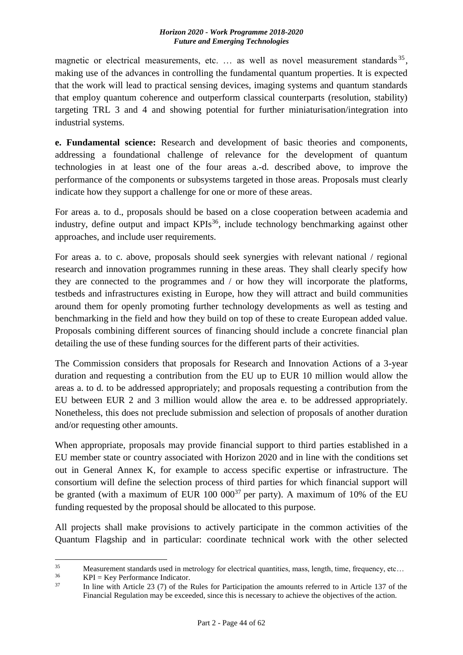magnetic or electrical measurements, etc. ... as well as novel measurement standards<sup>35</sup>, making use of the advances in controlling the fundamental quantum properties. It is expected that the work will lead to practical sensing devices, imaging systems and quantum standards that employ quantum coherence and outperform classical counterparts (resolution, stability) targeting TRL 3 and 4 and showing potential for further miniaturisation/integration into industrial systems.

**e. Fundamental science:** Research and development of basic theories and components, addressing a foundational challenge of relevance for the development of quantum technologies in at least one of the four areas a.-d. described above, to improve the performance of the components or subsystems targeted in those areas. Proposals must clearly indicate how they support a challenge for one or more of these areas.

For areas a. to d., proposals should be based on a close cooperation between academia and industry, define output and impact  $KPIs<sup>36</sup>$ , include technology benchmarking against other approaches, and include user requirements.

For areas a. to c. above, proposals should seek synergies with relevant national / regional research and innovation programmes running in these areas. They shall clearly specify how they are connected to the programmes and / or how they will incorporate the platforms, testbeds and infrastructures existing in Europe, how they will attract and build communities around them for openly promoting further technology developments as well as testing and benchmarking in the field and how they build on top of these to create European added value. Proposals combining different sources of financing should include a concrete financial plan detailing the use of these funding sources for the different parts of their activities.

The Commission considers that proposals for Research and Innovation Actions of a 3-year duration and requesting a contribution from the EU up to EUR 10 million would allow the areas a. to d. to be addressed appropriately; and proposals requesting a contribution from the EU between EUR 2 and 3 million would allow the area e. to be addressed appropriately. Nonetheless, this does not preclude submission and selection of proposals of another duration and/or requesting other amounts.

When appropriate, proposals may provide financial support to third parties established in a EU member state or country associated with Horizon 2020 and in line with the conditions set out in General Annex K, for example to access specific expertise or infrastructure. The consortium will define the selection process of third parties for which financial support will be granted (with a maximum of EUR  $100\ 000^{37}$  per party). A maximum of 10% of the EU funding requested by the proposal should be allocated to this purpose.

All projects shall make provisions to actively participate in the common activities of the Quantum Flagship and in particular: coordinate technical work with the other selected

<u>.</u>

<sup>35</sup> Measurement standards used in metrology for electrical quantities, mass, length, time, frequency, etc...<br> $VPI - K_{2V}$  Parformance Indicator

 $^{36}$  KPI = Key Performance Indicator.

In line with Article 23 (7) of the Rules for Participation the amounts referred to in Article 137 of the Financial Regulation may be exceeded, since this is necessary to achieve the objectives of the action.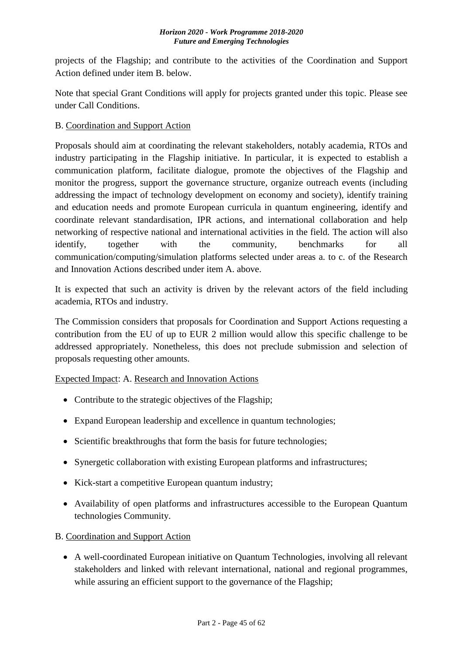projects of the Flagship; and contribute to the activities of the Coordination and Support Action defined under item B. below.

Note that special Grant Conditions will apply for projects granted under this topic. Please see under Call Conditions.

## B. Coordination and Support Action

Proposals should aim at coordinating the relevant stakeholders, notably academia, RTOs and industry participating in the Flagship initiative. In particular, it is expected to establish a communication platform, facilitate dialogue, promote the objectives of the Flagship and monitor the progress, support the governance structure, organize outreach events (including addressing the impact of technology development on economy and society), identify training and education needs and promote European curricula in quantum engineering, identify and coordinate relevant standardisation, IPR actions, and international collaboration and help networking of respective national and international activities in the field. The action will also identify, together with the community, benchmarks for all communication/computing/simulation platforms selected under areas a. to c. of the Research and Innovation Actions described under item A. above.

It is expected that such an activity is driven by the relevant actors of the field including academia, RTOs and industry.

The Commission considers that proposals for Coordination and Support Actions requesting a contribution from the EU of up to EUR 2 million would allow this specific challenge to be addressed appropriately. Nonetheless, this does not preclude submission and selection of proposals requesting other amounts.

## Expected Impact: A. Research and Innovation Actions

- Contribute to the strategic objectives of the Flagship;
- Expand European leadership and excellence in quantum technologies;
- Scientific breakthroughs that form the basis for future technologies;
- Synergetic collaboration with existing European platforms and infrastructures;
- Kick-start a competitive European quantum industry;
- Availability of open platforms and infrastructures accessible to the European Quantum technologies Community.

B. Coordination and Support Action

 A well-coordinated European initiative on Quantum Technologies, involving all relevant stakeholders and linked with relevant international, national and regional programmes, while assuring an efficient support to the governance of the Flagship;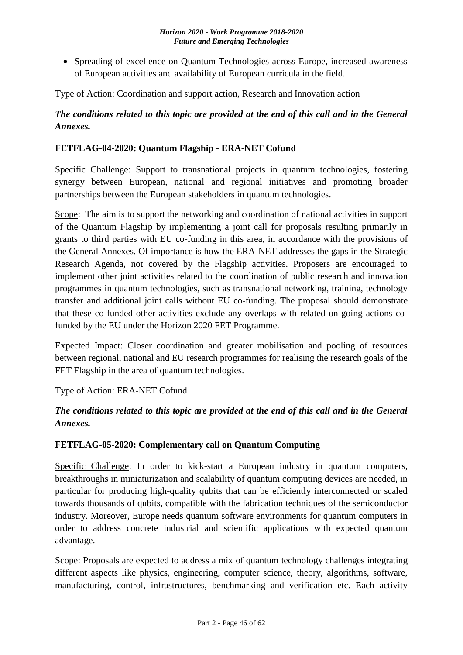• Spreading of excellence on Quantum Technologies across Europe, increased awareness of European activities and availability of European curricula in the field.

Type of Action: Coordination and support action, Research and Innovation action

## *The conditions related to this topic are provided at the end of this call and in the General Annexes.*

## <span id="page-45-0"></span>**FETFLAG-04-2020: Quantum Flagship - ERA-NET Cofund**

Specific Challenge: Support to transnational projects in quantum technologies, fostering synergy between European, national and regional initiatives and promoting broader partnerships between the European stakeholders in quantum technologies.

Scope: The aim is to support the networking and coordination of national activities in support of the Quantum Flagship by implementing a joint call for proposals resulting primarily in grants to third parties with EU co-funding in this area, in accordance with the provisions of the General Annexes. Of importance is how the ERA-NET addresses the gaps in the Strategic Research Agenda, not covered by the Flagship activities. Proposers are encouraged to implement other joint activities related to the coordination of public research and innovation programmes in quantum technologies, such as transnational networking, training, technology transfer and additional joint calls without EU co-funding. The proposal should demonstrate that these co-funded other activities exclude any overlaps with related on-going actions cofunded by the EU under the Horizon 2020 FET Programme.

Expected Impact: Closer coordination and greater mobilisation and pooling of resources between regional, national and EU research programmes for realising the research goals of the FET Flagship in the area of quantum technologies.

## Type of Action: ERA-NET Cofund

*The conditions related to this topic are provided at the end of this call and in the General Annexes.*

## <span id="page-45-1"></span>**FETFLAG-05-2020: Complementary call on Quantum Computing**

Specific Challenge: In order to kick-start a European industry in quantum computers, breakthroughs in miniaturization and scalability of quantum computing devices are needed, in particular for producing high-quality qubits that can be efficiently interconnected or scaled towards thousands of qubits, compatible with the fabrication techniques of the semiconductor industry. Moreover, Europe needs quantum software environments for quantum computers in order to address concrete industrial and scientific applications with expected quantum advantage.

Scope: Proposals are expected to address a mix of quantum technology challenges integrating different aspects like physics, engineering, computer science, theory, algorithms, software, manufacturing, control, infrastructures, benchmarking and verification etc. Each activity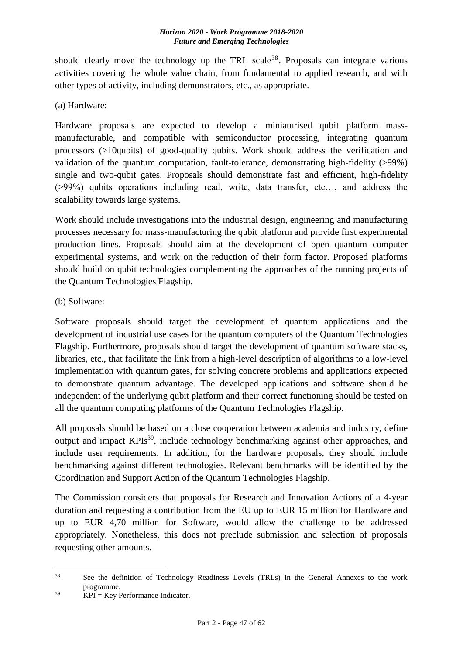should clearly move the technology up the TRL scale<sup>38</sup>. Proposals can integrate various activities covering the whole value chain, from fundamental to applied research, and with other types of activity, including demonstrators, etc., as appropriate.

(a) Hardware:

Hardware proposals are expected to develop a miniaturised qubit platform massmanufacturable, and compatible with semiconductor processing, integrating quantum processors (>10qubits) of good-quality qubits. Work should address the verification and validation of the quantum computation, fault-tolerance, demonstrating high-fidelity (>99%) single and two-qubit gates. Proposals should demonstrate fast and efficient, high-fidelity (>99%) qubits operations including read, write, data transfer, etc…, and address the scalability towards large systems.

Work should include investigations into the industrial design, engineering and manufacturing processes necessary for mass-manufacturing the qubit platform and provide first experimental production lines. Proposals should aim at the development of open quantum computer experimental systems, and work on the reduction of their form factor. Proposed platforms should build on qubit technologies complementing the approaches of the running projects of the Quantum Technologies Flagship.

(b) Software:

Software proposals should target the development of quantum applications and the development of industrial use cases for the quantum computers of the Quantum Technologies Flagship. Furthermore, proposals should target the development of quantum software stacks, libraries, etc., that facilitate the link from a high-level description of algorithms to a low-level implementation with quantum gates, for solving concrete problems and applications expected to demonstrate quantum advantage. The developed applications and software should be independent of the underlying qubit platform and their correct functioning should be tested on all the quantum computing platforms of the Quantum Technologies Flagship.

All proposals should be based on a close cooperation between academia and industry, define output and impact KPIs<sup>39</sup>, include technology benchmarking against other approaches, and include user requirements. In addition, for the hardware proposals, they should include benchmarking against different technologies. Relevant benchmarks will be identified by the Coordination and Support Action of the Quantum Technologies Flagship.

The Commission considers that proposals for Research and Innovation Actions of a 4-year duration and requesting a contribution from the EU up to EUR 15 million for Hardware and up to EUR 4,70 million for Software, would allow the challenge to be addressed appropriately. Nonetheless, this does not preclude submission and selection of proposals requesting other amounts.

1

<sup>&</sup>lt;sup>38</sup> See the definition of Technology Readiness Levels (TRLs) in the General Annexes to the work programme.

 $39$  KPI = Key Performance Indicator.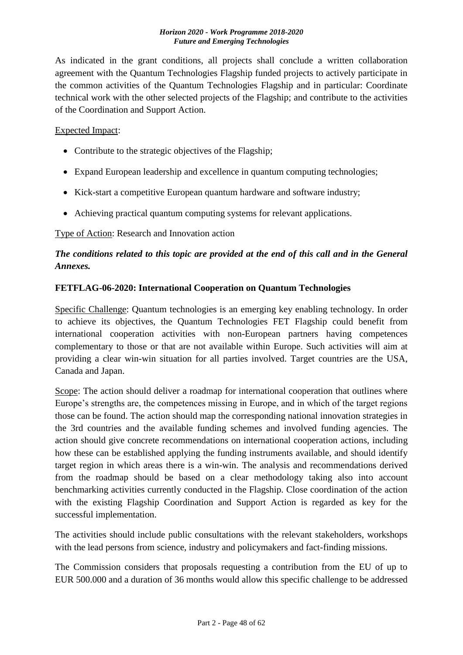As indicated in the grant conditions, all projects shall conclude a written collaboration agreement with the Quantum Technologies Flagship funded projects to actively participate in the common activities of the Quantum Technologies Flagship and in particular: Coordinate technical work with the other selected projects of the Flagship; and contribute to the activities of the Coordination and Support Action.

### Expected Impact:

- Contribute to the strategic objectives of the Flagship;
- Expand European leadership and excellence in quantum computing technologies;
- Kick-start a competitive European quantum hardware and software industry;
- Achieving practical quantum computing systems for relevant applications.

Type of Action: Research and Innovation action

## *The conditions related to this topic are provided at the end of this call and in the General Annexes.*

### <span id="page-47-0"></span>**FETFLAG-06-2020: International Cooperation on Quantum Technologies**

Specific Challenge: Quantum technologies is an emerging key enabling technology. In order to achieve its objectives, the Quantum Technologies FET Flagship could benefit from international cooperation activities with non-European partners having competences complementary to those or that are not available within Europe. Such activities will aim at providing a clear win-win situation for all parties involved. Target countries are the USA, Canada and Japan.

Scope: The action should deliver a roadmap for international cooperation that outlines where Europe's strengths are, the competences missing in Europe, and in which of the target regions those can be found. The action should map the corresponding national innovation strategies in the 3rd countries and the available funding schemes and involved funding agencies. The action should give concrete recommendations on international cooperation actions, including how these can be established applying the funding instruments available, and should identify target region in which areas there is a win-win. The analysis and recommendations derived from the roadmap should be based on a clear methodology taking also into account benchmarking activities currently conducted in the Flagship. Close coordination of the action with the existing Flagship Coordination and Support Action is regarded as key for the successful implementation.

The activities should include public consultations with the relevant stakeholders, workshops with the lead persons from science, industry and policymakers and fact-finding missions.

The Commission considers that proposals requesting a contribution from the EU of up to EUR 500.000 and a duration of 36 months would allow this specific challenge to be addressed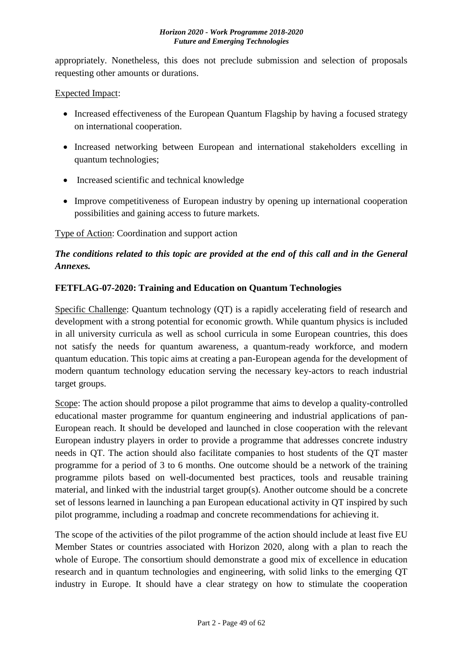appropriately. Nonetheless, this does not preclude submission and selection of proposals requesting other amounts or durations.

### Expected Impact:

- Increased effectiveness of the European Quantum Flagship by having a focused strategy on international cooperation.
- Increased networking between European and international stakeholders excelling in quantum technologies;
- Increased scientific and technical knowledge
- Improve competitiveness of European industry by opening up international cooperation possibilities and gaining access to future markets.

Type of Action: Coordination and support action

## *The conditions related to this topic are provided at the end of this call and in the General Annexes.*

### <span id="page-48-0"></span>**FETFLAG-07-2020: Training and Education on Quantum Technologies**

Specific Challenge: Quantum technology (QT) is a rapidly accelerating field of research and development with a strong potential for economic growth. While quantum physics is included in all university curricula as well as school curricula in some European countries, this does not satisfy the needs for quantum awareness, a quantum-ready workforce, and modern quantum education. This topic aims at creating a pan-European agenda for the development of modern quantum technology education serving the necessary key-actors to reach industrial target groups.

Scope: The action should propose a pilot programme that aims to develop a quality-controlled educational master programme for quantum engineering and industrial applications of pan-European reach. It should be developed and launched in close cooperation with the relevant European industry players in order to provide a programme that addresses concrete industry needs in QT. The action should also facilitate companies to host students of the QT master programme for a period of 3 to 6 months. One outcome should be a network of the training programme pilots based on well-documented best practices, tools and reusable training material, and linked with the industrial target group(s). Another outcome should be a concrete set of lessons learned in launching a pan European educational activity in QT inspired by such pilot programme, including a roadmap and concrete recommendations for achieving it.

The scope of the activities of the pilot programme of the action should include at least five EU Member States or countries associated with Horizon 2020, along with a plan to reach the whole of Europe. The consortium should demonstrate a good mix of excellence in education research and in quantum technologies and engineering, with solid links to the emerging QT industry in Europe. It should have a clear strategy on how to stimulate the cooperation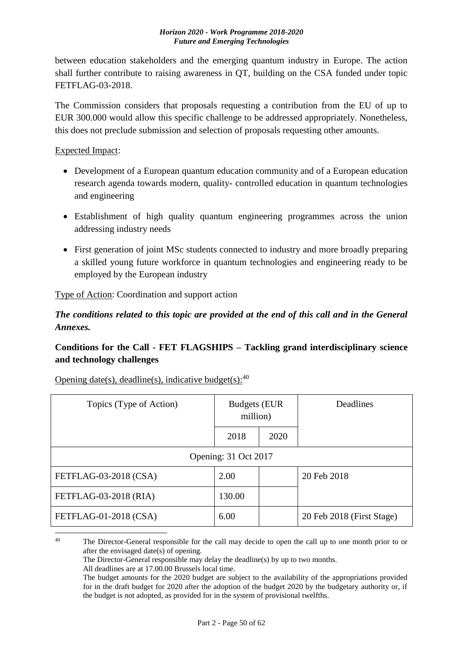between education stakeholders and the emerging quantum industry in Europe. The action shall further contribute to raising awareness in QT, building on the CSA funded under topic FETFLAG-03-2018.

The Commission considers that proposals requesting a contribution from the EU of up to EUR 300.000 would allow this specific challenge to be addressed appropriately. Nonetheless, this does not preclude submission and selection of proposals requesting other amounts.

Expected Impact:

- Development of a European quantum education community and of a European education research agenda towards modern, quality- controlled education in quantum technologies and engineering
- Establishment of high quality quantum engineering programmes across the union addressing industry needs
- First generation of joint MSc students connected to industry and more broadly preparing a skilled young future workforce in quantum technologies and engineering ready to be employed by the European industry

Type of Action: Coordination and support action

*The conditions related to this topic are provided at the end of this call and in the General Annexes.*

## <span id="page-49-0"></span>**Conditions for the Call - FET FLAGSHIPS – Tackling grand interdisciplinary science and technology challenges**

| Topics (Type of Action) | <b>Budgets (EUR</b><br>million) |      | Deadlines                 |  |
|-------------------------|---------------------------------|------|---------------------------|--|
|                         | 2018                            | 2020 |                           |  |
|                         | Opening: 31 Oct 2017            |      |                           |  |
| FETFLAG-03-2018 (CSA)   | 2.00                            |      | 20 Feb 2018               |  |
| FETFLAG-03-2018 (RIA)   | 130.00                          |      |                           |  |
| FETFLAG-01-2018 (CSA)   | 6.00                            |      | 20 Feb 2018 (First Stage) |  |
|                         |                                 |      |                           |  |

Opening date(s), deadline(s), indicative budget(s):  $40$ 

<sup>&</sup>lt;sup>40</sup> The Director-General responsible for the call may decide to open the call up to one month prior to or after the envisaged date(s) of opening.

The Director-General responsible may delay the deadline(s) by up to two months.

All deadlines are at 17.00.00 Brussels local time.

The budget amounts for the 2020 budget are subject to the availability of the appropriations provided for in the draft budget for 2020 after the adoption of the budget 2020 by the budgetary authority or, if the budget is not adopted, as provided for in the system of provisional twelfths.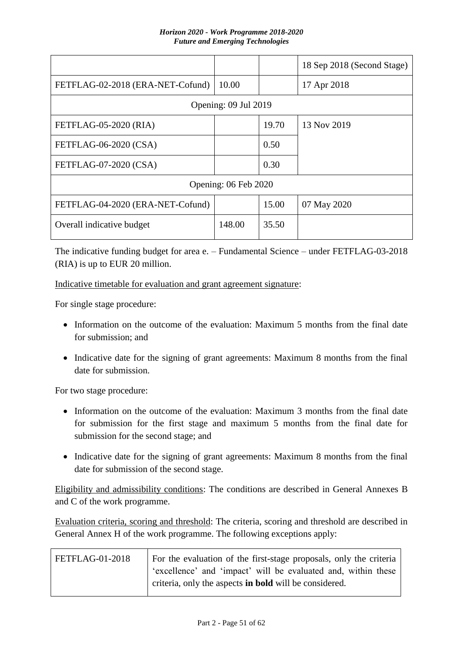|                                  |                      |       | 18 Sep 2018 (Second Stage) |  |
|----------------------------------|----------------------|-------|----------------------------|--|
| FETFLAG-02-2018 (ERA-NET-Cofund) | 10.00                |       | 17 Apr 2018                |  |
|                                  | Opening: 09 Jul 2019 |       |                            |  |
| FETFLAG-05-2020 (RIA)            |                      | 19.70 | 13 Nov 2019                |  |
| FETFLAG-06-2020 (CSA)            |                      | 0.50  |                            |  |
| FETFLAG-07-2020 (CSA)            |                      | 0.30  |                            |  |
| Opening: 06 Feb 2020             |                      |       |                            |  |
| FETFLAG-04-2020 (ERA-NET-Cofund) |                      | 15.00 | 07 May 2020                |  |
| Overall indicative budget        | 148.00               | 35.50 |                            |  |

The indicative funding budget for area e. – Fundamental Science – under FETFLAG-03-2018 (RIA) is up to EUR 20 million.

Indicative timetable for evaluation and grant agreement signature:

For single stage procedure:

- Information on the outcome of the evaluation: Maximum 5 months from the final date for submission; and
- Indicative date for the signing of grant agreements: Maximum 8 months from the final date for submission.

For two stage procedure:

- Information on the outcome of the evaluation: Maximum 3 months from the final date for submission for the first stage and maximum 5 months from the final date for submission for the second stage; and
- Indicative date for the signing of grant agreements: Maximum 8 months from the final date for submission of the second stage.

Eligibility and admissibility conditions: The conditions are described in General Annexes B and C of the work programme.

Evaluation criteria, scoring and threshold: The criteria, scoring and threshold are described in General Annex H of the work programme. The following exceptions apply:

| FETFLAG-01-2018 | For the evaluation of the first-stage proposals, only the criteria |
|-----------------|--------------------------------------------------------------------|
|                 | 'excellence' and 'impact' will be evaluated and, within these      |
|                 | criteria, only the aspects in <b>bold</b> will be considered.      |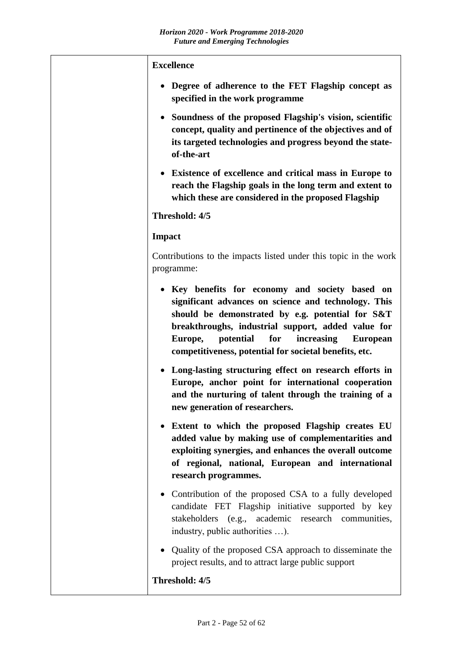| <b>Excellence</b>                                                                                                                                                                                                                                                                                                                                                                                                                                                |
|------------------------------------------------------------------------------------------------------------------------------------------------------------------------------------------------------------------------------------------------------------------------------------------------------------------------------------------------------------------------------------------------------------------------------------------------------------------|
| Degree of adherence to the FET Flagship concept as<br>specified in the work programme                                                                                                                                                                                                                                                                                                                                                                            |
| Soundness of the proposed Flagship's vision, scientific<br>٠<br>concept, quality and pertinence of the objectives and of<br>its targeted technologies and progress beyond the state-<br>of-the-art                                                                                                                                                                                                                                                               |
| Existence of excellence and critical mass in Europe to<br>$\bullet$<br>reach the Flagship goals in the long term and extent to<br>which these are considered in the proposed Flagship                                                                                                                                                                                                                                                                            |
| Threshold: 4/5                                                                                                                                                                                                                                                                                                                                                                                                                                                   |
| <b>Impact</b>                                                                                                                                                                                                                                                                                                                                                                                                                                                    |
| Contributions to the impacts listed under this topic in the work<br>programme:                                                                                                                                                                                                                                                                                                                                                                                   |
| Key benefits for economy and society based on<br>٠<br>significant advances on science and technology. This<br>should be demonstrated by e.g. potential for S&T<br>breakthroughs, industrial support, added value for<br>potential<br>for<br>increasing<br>Europe,<br><b>European</b><br>competitiveness, potential for societal benefits, etc.<br>• Long-lasting structuring effect on research efforts in<br>Europe, anchor point for international cooperation |
| and the nurturing of talent through the training of a<br>new generation of researchers.                                                                                                                                                                                                                                                                                                                                                                          |
| Extent to which the proposed Flagship creates EU<br>$\bullet$<br>added value by making use of complementarities and<br>exploiting synergies, and enhances the overall outcome<br>of regional, national, European and international<br>research programmes.                                                                                                                                                                                                       |
| • Contribution of the proposed CSA to a fully developed<br>candidate FET Flagship initiative supported by key<br>stakeholders (e.g., academic research communities,<br>industry, public authorities ).                                                                                                                                                                                                                                                           |
| Quality of the proposed CSA approach to disseminate the<br>$\bullet$<br>project results, and to attract large public support                                                                                                                                                                                                                                                                                                                                     |
| Threshold: 4/5                                                                                                                                                                                                                                                                                                                                                                                                                                                   |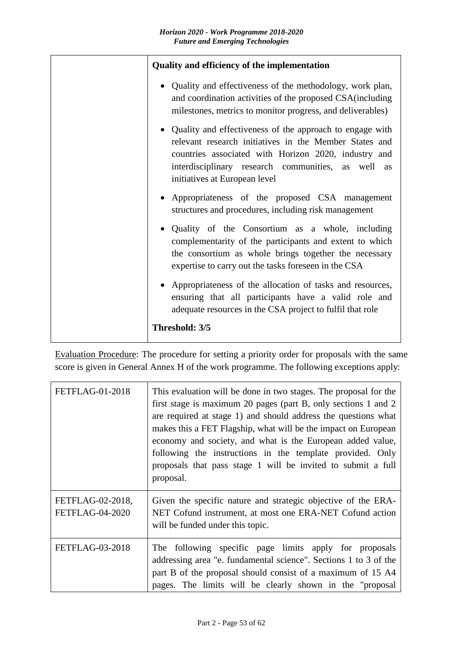| Quality and efficiency of the implementation                                                                                                                                                                                                                      |
|-------------------------------------------------------------------------------------------------------------------------------------------------------------------------------------------------------------------------------------------------------------------|
| • Quality and effectiveness of the methodology, work plan,<br>and coordination activities of the proposed CSA(including<br>milestones, metrics to monitor progress, and deliverables)                                                                             |
| Quality and effectiveness of the approach to engage with<br>relevant research initiatives in the Member States and<br>countries associated with Horizon 2020, industry and<br>interdisciplinary research communities, as well as<br>initiatives at European level |
| • Appropriateness of the proposed CSA management<br>structures and procedures, including risk management                                                                                                                                                          |
| • Quality of the Consortium as a whole, including<br>complementarity of the participants and extent to which<br>the consortium as whole brings together the necessary<br>expertise to carry out the tasks foreseen in the CSA                                     |
| • Appropriateness of the allocation of tasks and resources,<br>ensuring that all participants have a valid role and<br>adequate resources in the CSA project to fulfil that role                                                                                  |
| Threshold: 3/5                                                                                                                                                                                                                                                    |

Evaluation Procedure: The procedure for setting a priority order for proposals with the same score is given in General Annex H of the work programme. The following exceptions apply:

| <b>FETFLAG-01-2018</b>                     | This evaluation will be done in two stages. The proposal for the<br>first stage is maximum 20 pages (part B, only sections 1 and 2<br>are required at stage 1) and should address the questions what<br>makes this a FET Flagship, what will be the impact on European<br>economy and society, and what is the European added value,<br>following the instructions in the template provided. Only<br>proposals that pass stage 1 will be invited to submit a full<br>proposal. |
|--------------------------------------------|--------------------------------------------------------------------------------------------------------------------------------------------------------------------------------------------------------------------------------------------------------------------------------------------------------------------------------------------------------------------------------------------------------------------------------------------------------------------------------|
| FETFLAG-02-2018,<br><b>FETFLAG-04-2020</b> | Given the specific nature and strategic objective of the ERA-<br>NET Cofund instrument, at most one ERA-NET Cofund action<br>will be funded under this topic.                                                                                                                                                                                                                                                                                                                  |
| <b>FETFLAG-03-2018</b>                     | The following specific page limits apply for proposals<br>addressing area "e. fundamental science". Sections 1 to 3 of the<br>part B of the proposal should consist of a maximum of 15 A4<br>pages. The limits will be clearly shown in the "proposal                                                                                                                                                                                                                          |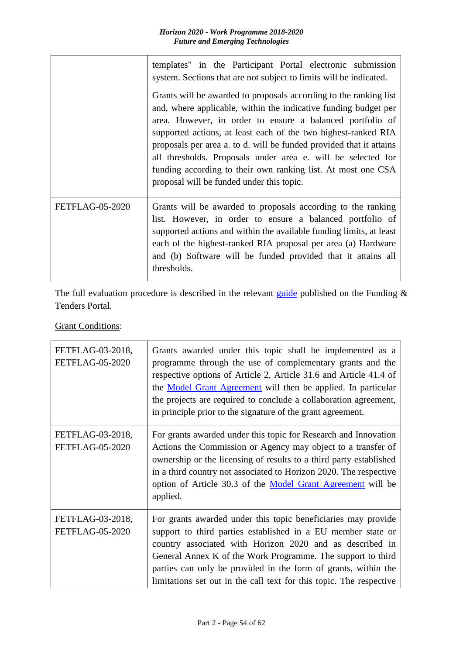|                        | templates" in the Participant Portal electronic submission<br>system. Sections that are not subject to limits will be indicated.                                                                                                                                                                                                                                                                                                                                                                                        |  |  |  |  |  |
|------------------------|-------------------------------------------------------------------------------------------------------------------------------------------------------------------------------------------------------------------------------------------------------------------------------------------------------------------------------------------------------------------------------------------------------------------------------------------------------------------------------------------------------------------------|--|--|--|--|--|
|                        | Grants will be awarded to proposals according to the ranking list<br>and, where applicable, within the indicative funding budget per<br>area. However, in order to ensure a balanced portfolio of<br>supported actions, at least each of the two highest-ranked RIA<br>proposals per area a. to d. will be funded provided that it attains<br>all thresholds. Proposals under area e. will be selected for<br>funding according to their own ranking list. At most one CSA<br>proposal will be funded under this topic. |  |  |  |  |  |
| <b>FETFLAG-05-2020</b> | Grants will be awarded to proposals according to the ranking<br>list. However, in order to ensure a balanced portfolio of<br>supported actions and within the available funding limits, at least<br>each of the highest-ranked RIA proposal per area (a) Hardware<br>and (b) Software will be funded provided that it attains all<br>thresholds.                                                                                                                                                                        |  |  |  |  |  |

The full evaluation procedure is described in the relevant [guide](http://ec.europa.eu/research/participants/docs/h2020-funding-guide/grants/applying-for-funding/submit-proposals_en.htm) published on the Funding  $\&$ Tenders Portal.

**Grant Conditions:** 

| FETFLAG-03-2018,<br><b>FETFLAG-05-2020</b> | Grants awarded under this topic shall be implemented as a<br>programme through the use of complementary grants and the<br>respective options of Article 2, Article 31.6 and Article 41.4 of<br>the <b>Model Grant Agreement</b> will then be applied. In particular<br>the projects are required to conclude a collaboration agreement,<br>in principle prior to the signature of the grant agreement. |
|--------------------------------------------|--------------------------------------------------------------------------------------------------------------------------------------------------------------------------------------------------------------------------------------------------------------------------------------------------------------------------------------------------------------------------------------------------------|
| FETFLAG-03-2018,<br><b>FETFLAG-05-2020</b> | For grants awarded under this topic for Research and Innovation<br>Actions the Commission or Agency may object to a transfer of<br>ownership or the licensing of results to a third party established<br>in a third country not associated to Horizon 2020. The respective<br>option of Article 30.3 of the Model Grant Agreement will be<br>applied.                                                  |
| FETFLAG-03-2018,<br><b>FETFLAG-05-2020</b> | For grants awarded under this topic beneficiaries may provide<br>support to third parties established in a EU member state or<br>country associated with Horizon 2020 and as described in<br>General Annex K of the Work Programme. The support to third<br>parties can only be provided in the form of grants, within the<br>limitations set out in the call text for this topic. The respective      |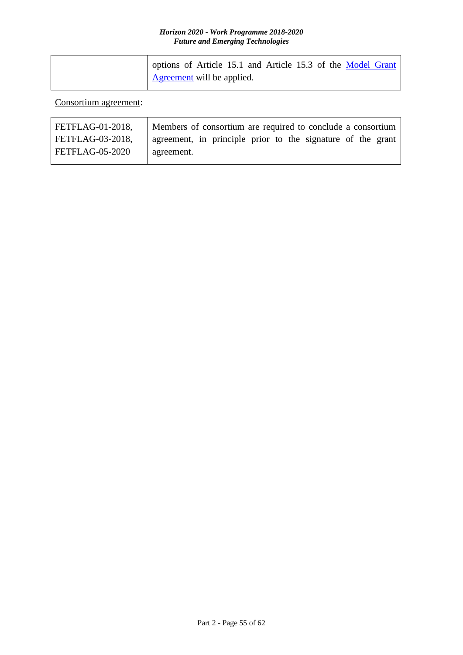| options of Article 15.1 and Article 15.3 of the Model Grant |
|-------------------------------------------------------------|
| <b>Agreement</b> will be applied.                           |

Consortium agreement:

| FETFLAG-01-2018, | Members of consortium are required to conclude a consortium |
|------------------|-------------------------------------------------------------|
| FETFLAG-03-2018, | agreement, in principle prior to the signature of the grant |
| FETFLAG-05-2020  | agreement.                                                  |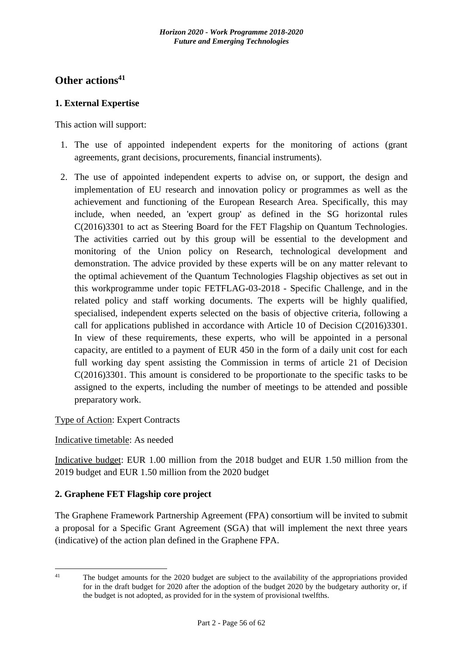## <span id="page-55-0"></span>**Other actions<sup>41</sup>**

## <span id="page-55-1"></span>**1. External Expertise**

This action will support:

- 1. The use of appointed independent experts for the monitoring of actions (grant agreements, grant decisions, procurements, financial instruments).
- 2. The use of appointed independent experts to advise on, or support, the design and implementation of EU research and innovation policy or programmes as well as the achievement and functioning of the European Research Area. Specifically, this may include, when needed, an 'expert group' as defined in the SG horizontal rules C(2016)3301 to act as Steering Board for the FET Flagship on Quantum Technologies. The activities carried out by this group will be essential to the development and monitoring of the Union policy on Research, technological development and demonstration. The advice provided by these experts will be on any matter relevant to the optimal achievement of the Quantum Technologies Flagship objectives as set out in this workprogramme under topic FETFLAG-03-2018 - Specific Challenge, and in the related policy and staff working documents. The experts will be highly qualified, specialised, independent experts selected on the basis of objective criteria, following a call for applications published in accordance with Article 10 of Decision C(2016)3301. In view of these requirements, these experts, who will be appointed in a personal capacity, are entitled to a payment of EUR 450 in the form of a daily unit cost for each full working day spent assisting the Commission in terms of article 21 of Decision C(2016)3301. This amount is considered to be proportionate to the specific tasks to be assigned to the experts, including the number of meetings to be attended and possible preparatory work.

## Type of Action: Expert Contracts

### Indicative timetable: As needed

Indicative budget: EUR 1.00 million from the 2018 budget and EUR 1.50 million from the 2019 budget and EUR 1.50 million from the 2020 budget

## <span id="page-55-2"></span>**2. Graphene FET Flagship core project**

The Graphene Framework Partnership Agreement (FPA) consortium will be invited to submit a proposal for a Specific Grant Agreement (SGA) that will implement the next three years (indicative) of the action plan defined in the Graphene FPA.

 $\overline{41}$ 

The budget amounts for the 2020 budget are subject to the availability of the appropriations provided for in the draft budget for 2020 after the adoption of the budget 2020 by the budgetary authority or, if the budget is not adopted, as provided for in the system of provisional twelfths.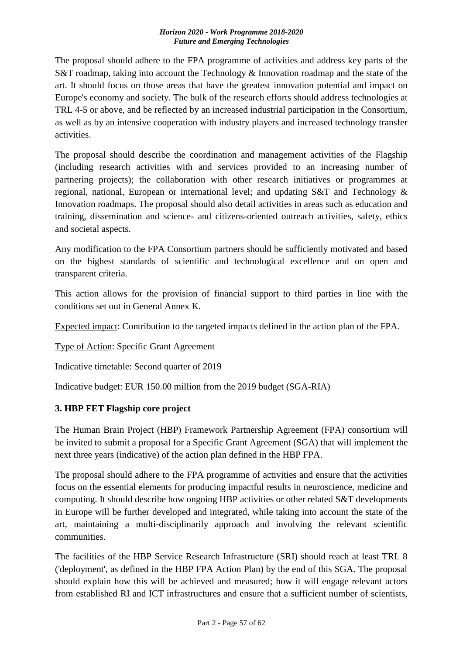The proposal should adhere to the FPA programme of activities and address key parts of the S&T roadmap, taking into account the Technology & Innovation roadmap and the state of the art. It should focus on those areas that have the greatest innovation potential and impact on Europe's economy and society. The bulk of the research efforts should address technologies at TRL 4-5 or above, and be reflected by an increased industrial participation in the Consortium, as well as by an intensive cooperation with industry players and increased technology transfer activities.

The proposal should describe the coordination and management activities of the Flagship (including research activities with and services provided to an increasing number of partnering projects); the collaboration with other research initiatives or programmes at regional, national, European or international level; and updating S&T and Technology & Innovation roadmaps. The proposal should also detail activities in areas such as education and training, dissemination and science- and citizens-oriented outreach activities, safety, ethics and societal aspects.

Any modification to the FPA Consortium partners should be sufficiently motivated and based on the highest standards of scientific and technological excellence and on open and transparent criteria.

This action allows for the provision of financial support to third parties in line with the conditions set out in General Annex K.

Expected impact: Contribution to the targeted impacts defined in the action plan of the FPA.

Type of Action: Specific Grant Agreement

Indicative timetable: Second quarter of 2019

Indicative budget: EUR 150.00 million from the 2019 budget (SGA-RIA)

## <span id="page-56-0"></span>**3. HBP FET Flagship core project**

The Human Brain Project (HBP) Framework Partnership Agreement (FPA) consortium will be invited to submit a proposal for a Specific Grant Agreement (SGA) that will implement the next three years (indicative) of the action plan defined in the HBP FPA.

The proposal should adhere to the FPA programme of activities and ensure that the activities focus on the essential elements for producing impactful results in neuroscience, medicine and computing. It should describe how ongoing HBP activities or other related S&T developments in Europe will be further developed and integrated, while taking into account the state of the art, maintaining a multi-disciplinarily approach and involving the relevant scientific communities.

The facilities of the HBP Service Research Infrastructure (SRI) should reach at least TRL 8 ('deployment', as defined in the HBP FPA Action Plan) by the end of this SGA. The proposal should explain how this will be achieved and measured; how it will engage relevant actors from established RI and ICT infrastructures and ensure that a sufficient number of scientists,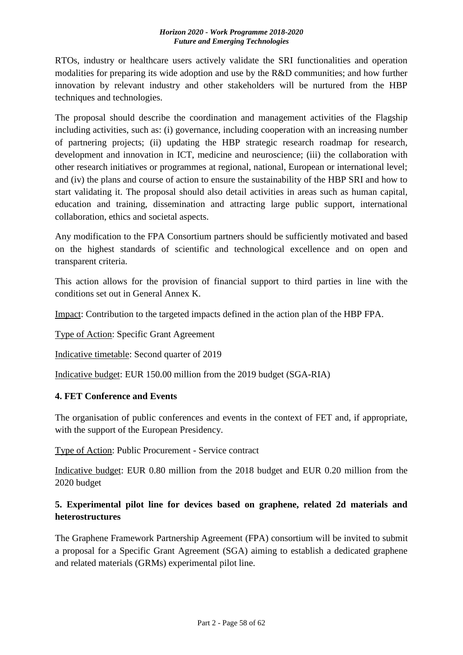RTOs, industry or healthcare users actively validate the SRI functionalities and operation modalities for preparing its wide adoption and use by the R&D communities; and how further innovation by relevant industry and other stakeholders will be nurtured from the HBP techniques and technologies.

The proposal should describe the coordination and management activities of the Flagship including activities, such as: (i) governance, including cooperation with an increasing number of partnering projects; (ii) updating the HBP strategic research roadmap for research, development and innovation in ICT, medicine and neuroscience; (iii) the collaboration with other research initiatives or programmes at regional, national, European or international level; and (iv) the plans and course of action to ensure the sustainability of the HBP SRI and how to start validating it. The proposal should also detail activities in areas such as human capital, education and training, dissemination and attracting large public support, international collaboration, ethics and societal aspects.

Any modification to the FPA Consortium partners should be sufficiently motivated and based on the highest standards of scientific and technological excellence and on open and transparent criteria.

This action allows for the provision of financial support to third parties in line with the conditions set out in General Annex K.

Impact: Contribution to the targeted impacts defined in the action plan of the HBP FPA.

Type of Action: Specific Grant Agreement

Indicative timetable: Second quarter of 2019

Indicative budget: EUR 150.00 million from the 2019 budget (SGA-RIA)

## <span id="page-57-0"></span>**4. FET Conference and Events**

The organisation of public conferences and events in the context of FET and, if appropriate, with the support of the European Presidency.

Type of Action: Public Procurement - Service contract

Indicative budget: EUR 0.80 million from the 2018 budget and EUR 0.20 million from the 2020 budget

## <span id="page-57-1"></span>**5. Experimental pilot line for devices based on graphene, related 2d materials and heterostructures**

The Graphene Framework Partnership Agreement (FPA) consortium will be invited to submit a proposal for a Specific Grant Agreement (SGA) aiming to establish a dedicated graphene and related materials (GRMs) experimental pilot line.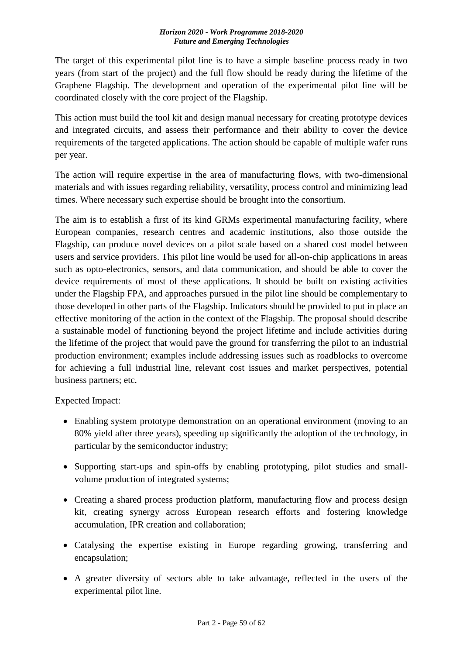The target of this experimental pilot line is to have a simple baseline process ready in two years (from start of the project) and the full flow should be ready during the lifetime of the Graphene Flagship. The development and operation of the experimental pilot line will be coordinated closely with the core project of the Flagship.

This action must build the tool kit and design manual necessary for creating prototype devices and integrated circuits, and assess their performance and their ability to cover the device requirements of the targeted applications. The action should be capable of multiple wafer runs per year.

The action will require expertise in the area of manufacturing flows, with two-dimensional materials and with issues regarding reliability, versatility, process control and minimizing lead times. Where necessary such expertise should be brought into the consortium.

The aim is to establish a first of its kind GRMs experimental manufacturing facility, where European companies, research centres and academic institutions, also those outside the Flagship, can produce novel devices on a pilot scale based on a shared cost model between users and service providers. This pilot line would be used for all-on-chip applications in areas such as opto-electronics, sensors, and data communication, and should be able to cover the device requirements of most of these applications. It should be built on existing activities under the Flagship FPA, and approaches pursued in the pilot line should be complementary to those developed in other parts of the Flagship. Indicators should be provided to put in place an effective monitoring of the action in the context of the Flagship. The proposal should describe a sustainable model of functioning beyond the project lifetime and include activities during the lifetime of the project that would pave the ground for transferring the pilot to an industrial production environment; examples include addressing issues such as roadblocks to overcome for achieving a full industrial line, relevant cost issues and market perspectives, potential business partners; etc.

## Expected Impact:

- Enabling system prototype demonstration on an operational environment (moving to an 80% yield after three years), speeding up significantly the adoption of the technology, in particular by the semiconductor industry;
- Supporting start-ups and spin-offs by enabling prototyping, pilot studies and smallvolume production of integrated systems;
- Creating a shared process production platform, manufacturing flow and process design kit, creating synergy across European research efforts and fostering knowledge accumulation, IPR creation and collaboration;
- Catalysing the expertise existing in Europe regarding growing, transferring and encapsulation;
- A greater diversity of sectors able to take advantage, reflected in the users of the experimental pilot line.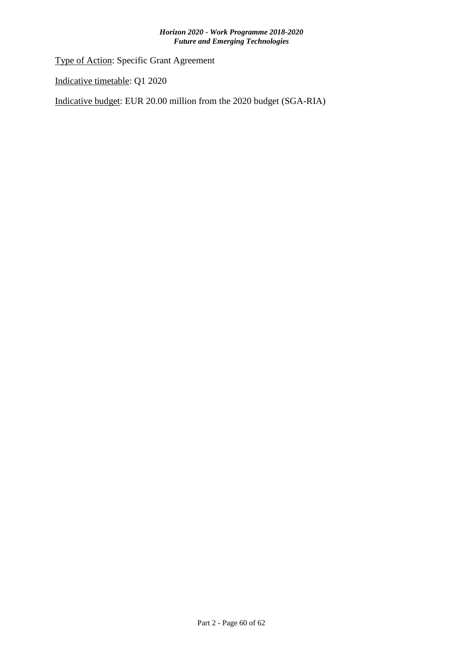Type of Action: Specific Grant Agreement

Indicative timetable: Q1 2020

Indicative budget: EUR 20.00 million from the 2020 budget (SGA-RIA)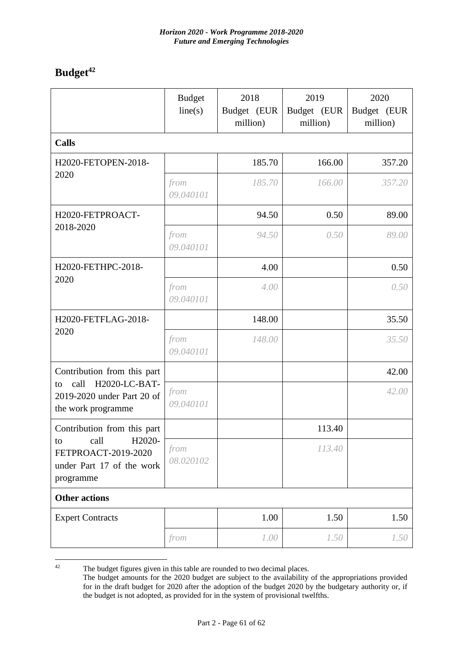## <span id="page-60-0"></span>**Budget<sup>42</sup>**

|                                                                                                                | <b>Budget</b><br>line(s) | 2018<br>Budget (EUR<br>million) | 2019<br>Budget (EUR<br>million) | 2020<br>Budget (EUR<br>million) |  |
|----------------------------------------------------------------------------------------------------------------|--------------------------|---------------------------------|---------------------------------|---------------------------------|--|
| <b>Calls</b>                                                                                                   |                          |                                 |                                 |                                 |  |
| H2020-FETOPEN-2018-                                                                                            |                          | 185.70                          | 166.00                          | 357.20                          |  |
| 2020                                                                                                           | from<br>09.040101        | 185.70                          | 166.00                          | 357.20                          |  |
| H2020-FETPROACT-                                                                                               |                          | 94.50                           | 0.50                            | 89.00                           |  |
| 2018-2020                                                                                                      | from<br>09.040101        | 94.50                           | 0.50                            | 89.00                           |  |
| H2020-FETHPC-2018-                                                                                             |                          | 4.00                            |                                 | 0.50                            |  |
| 2020                                                                                                           | from<br>09.040101        | 4.00                            |                                 | 0.50                            |  |
| H2020-FETFLAG-2018-                                                                                            |                          | 148.00                          |                                 | 35.50                           |  |
| 2020                                                                                                           | from<br>09.040101        | 148.00                          |                                 | 35.50                           |  |
| Contribution from this part<br>call<br>H2020-LC-BAT-<br>to<br>2019-2020 under Part 20 of<br>the work programme |                          |                                 |                                 | 42.00                           |  |
|                                                                                                                | from<br>09.040101        |                                 |                                 | 42.00                           |  |
| Contribution from this part                                                                                    |                          |                                 | 113.40                          |                                 |  |
| H2020-<br>call<br>to<br>FETPROACT-2019-2020<br>under Part 17 of the work<br>programme                          | from<br>08.020102        |                                 | 113.40                          |                                 |  |
| <b>Other actions</b>                                                                                           |                          |                                 |                                 |                                 |  |
| <b>Expert Contracts</b>                                                                                        |                          | 1.00                            | 1.50                            | 1.50                            |  |
|                                                                                                                | from                     | 1.00                            | 1.50                            | 1.50                            |  |

 $42$ The budget figures given in this table are rounded to two decimal places.

The budget amounts for the 2020 budget are subject to the availability of the appropriations provided for in the draft budget for 2020 after the adoption of the budget 2020 by the budgetary authority or, if the budget is not adopted, as provided for in the system of provisional twelfths.